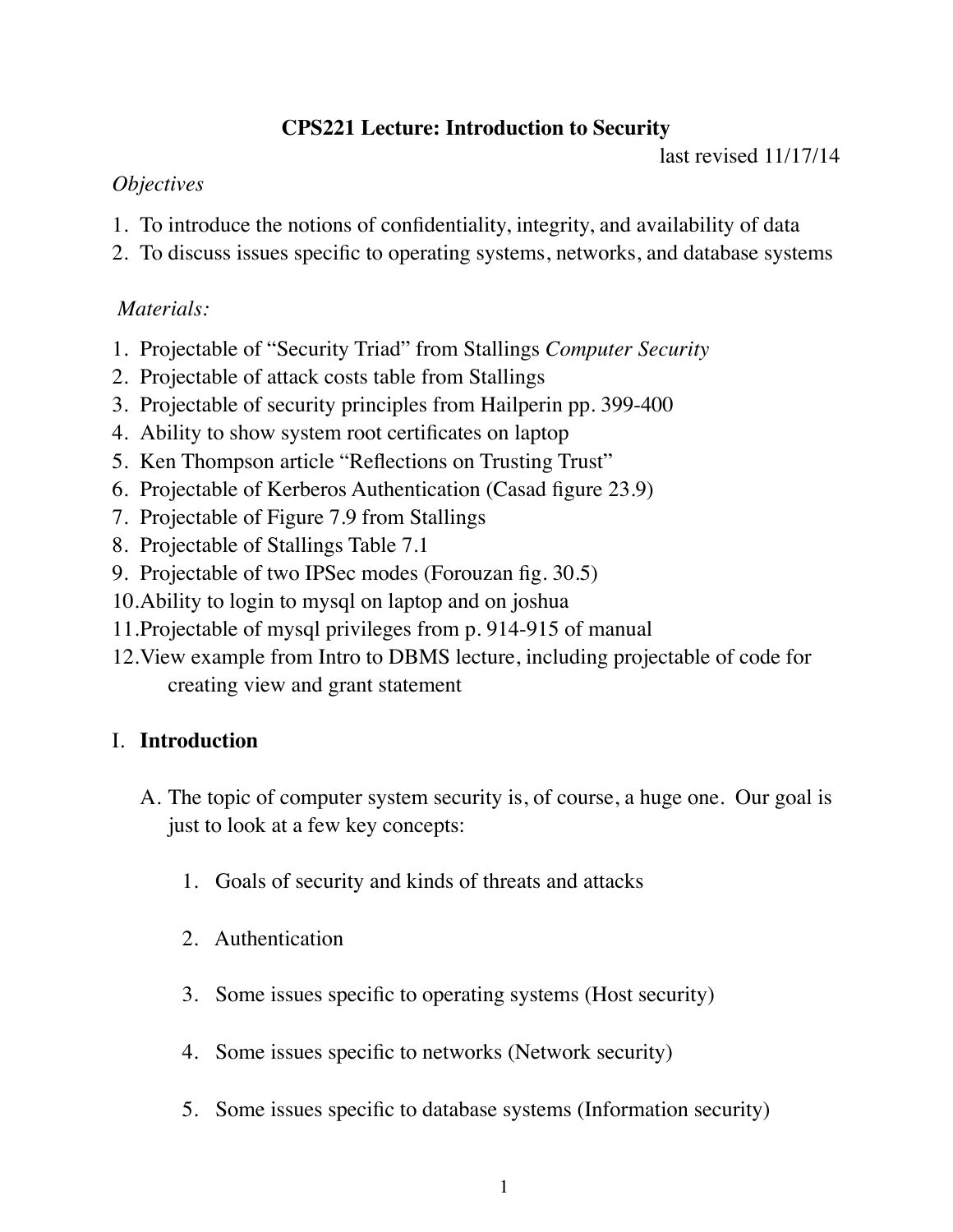# **CPS221 Lecture: Introduction to Security**

last revised 11/17/14

# *Objectives*

- 1. To introduce the notions of confidentiality, integrity, and availability of data
- 2. To discuss issues specific to operating systems, networks, and database systems

# *Materials:*

- 1. Projectable of "Security Triad" from Stallings *Computer Security*
- 2. Projectable of attack costs table from Stallings
- 3. Projectable of security principles from Hailperin pp. 399-400
- 4. Ability to show system root certificates on laptop
- 5. Ken Thompson article "Reflections on Trusting Trust"
- 6. Projectable of Kerberos Authentication (Casad figure 23.9)
- 7. Projectable of Figure 7.9 from Stallings
- 8. Projectable of Stallings Table 7.1
- 9. Projectable of two IPSec modes (Forouzan fig. 30.5)
- 10.Ability to login to mysql on laptop and on joshua
- 11.Projectable of mysql privileges from p. 914-915 of manual
- 12.View example from Intro to DBMS lecture, including projectable of code for creating view and grant statement

# I. **Introduction**

- A. The topic of computer system security is, of course, a huge one. Our goal is just to look at a few key concepts:
	- 1. Goals of security and kinds of threats and attacks
	- 2. Authentication
	- 3. Some issues specific to operating systems (Host security)
	- 4. Some issues specific to networks (Network security)
	- 5. Some issues specific to database systems (Information security)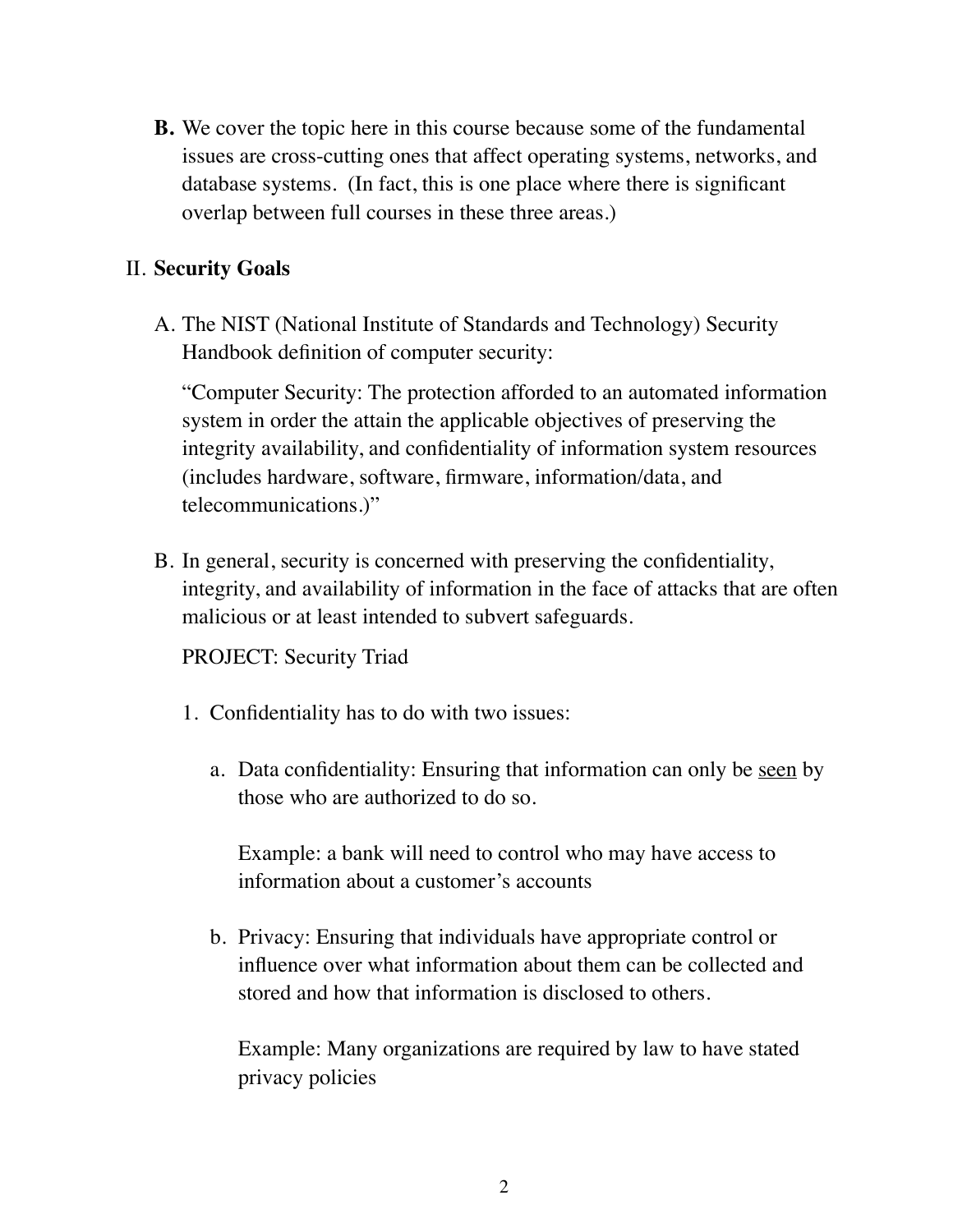**B.** We cover the topic here in this course because some of the fundamental issues are cross-cutting ones that affect operating systems, networks, and database systems. (In fact, this is one place where there is significant overlap between full courses in these three areas.)

## II. **Security Goals**

A. The NIST (National Institute of Standards and Technology) Security Handbook definition of computer security:

"Computer Security: The protection afforded to an automated information system in order the attain the applicable objectives of preserving the integrity availability, and confidentiality of information system resources (includes hardware, software, firmware, information/data, and telecommunications.)"

B. In general, security is concerned with preserving the confidentiality, integrity, and availability of information in the face of attacks that are often malicious or at least intended to subvert safeguards.

PROJECT: Security Triad

- 1. Confidentiality has to do with two issues:
	- a. Data confidentiality: Ensuring that information can only be seen by those who are authorized to do so.

Example: a bank will need to control who may have access to information about a customer's accounts

b. Privacy: Ensuring that individuals have appropriate control or influence over what information about them can be collected and stored and how that information is disclosed to others.

Example: Many organizations are required by law to have stated privacy policies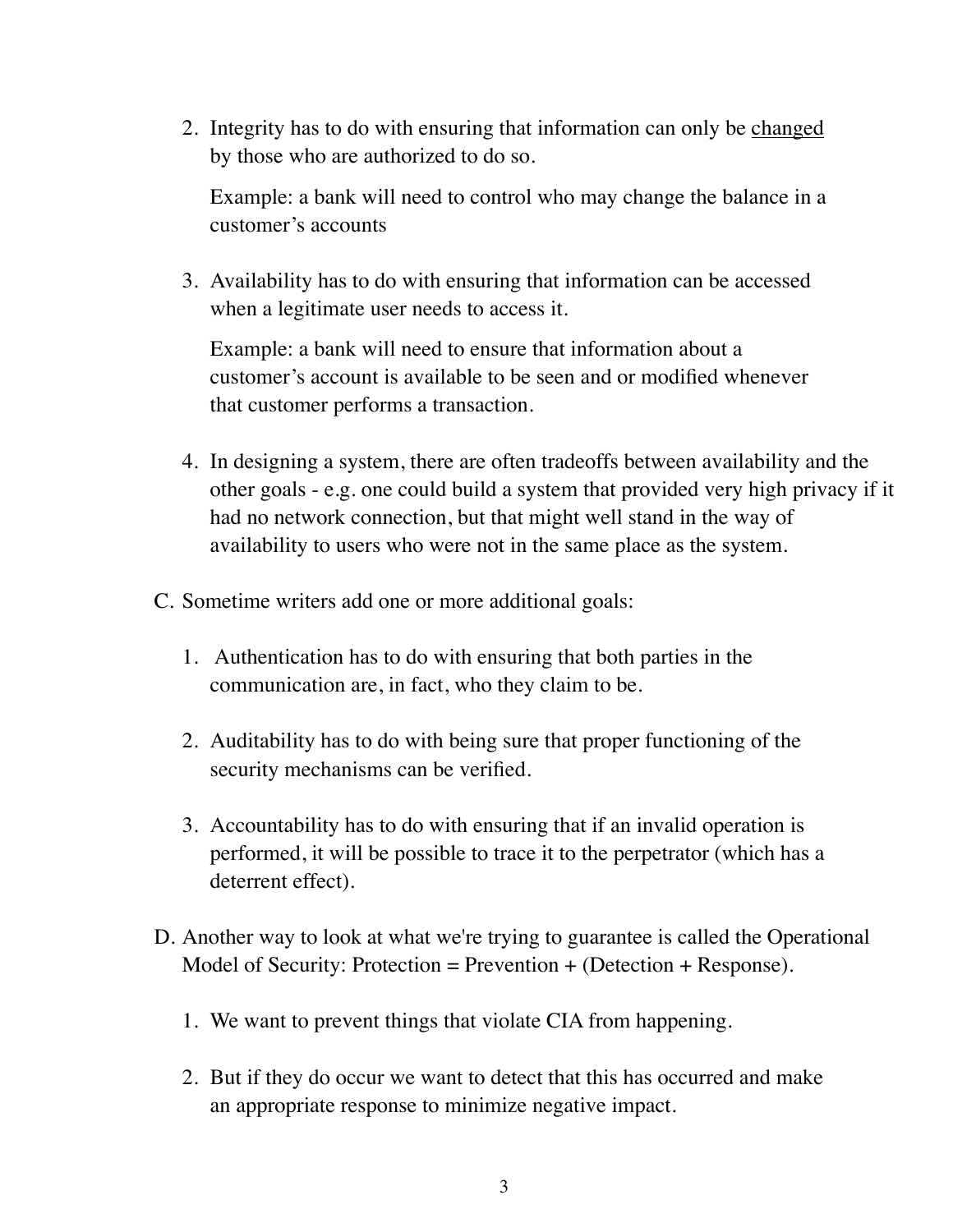2. Integrity has to do with ensuring that information can only be changed by those who are authorized to do so.

Example: a bank will need to control who may change the balance in a customer's accounts

3. Availability has to do with ensuring that information can be accessed when a legitimate user needs to access it.

Example: a bank will need to ensure that information about a customer's account is available to be seen and or modified whenever that customer performs a transaction.

- 4. In designing a system, there are often tradeoffs between availability and the other goals - e.g. one could build a system that provided very high privacy if it had no network connection, but that might well stand in the way of availability to users who were not in the same place as the system.
- C. Sometime writers add one or more additional goals:
	- 1. Authentication has to do with ensuring that both parties in the communication are, in fact, who they claim to be.
	- 2. Auditability has to do with being sure that proper functioning of the security mechanisms can be verified.
	- 3. Accountability has to do with ensuring that if an invalid operation is performed, it will be possible to trace it to the perpetrator (which has a deterrent effect).
- D. Another way to look at what we're trying to guarantee is called the Operational Model of Security: Protection = Prevention + (Detection + Response).
	- 1. We want to prevent things that violate CIA from happening.
	- 2. But if they do occur we want to detect that this has occurred and make an appropriate response to minimize negative impact.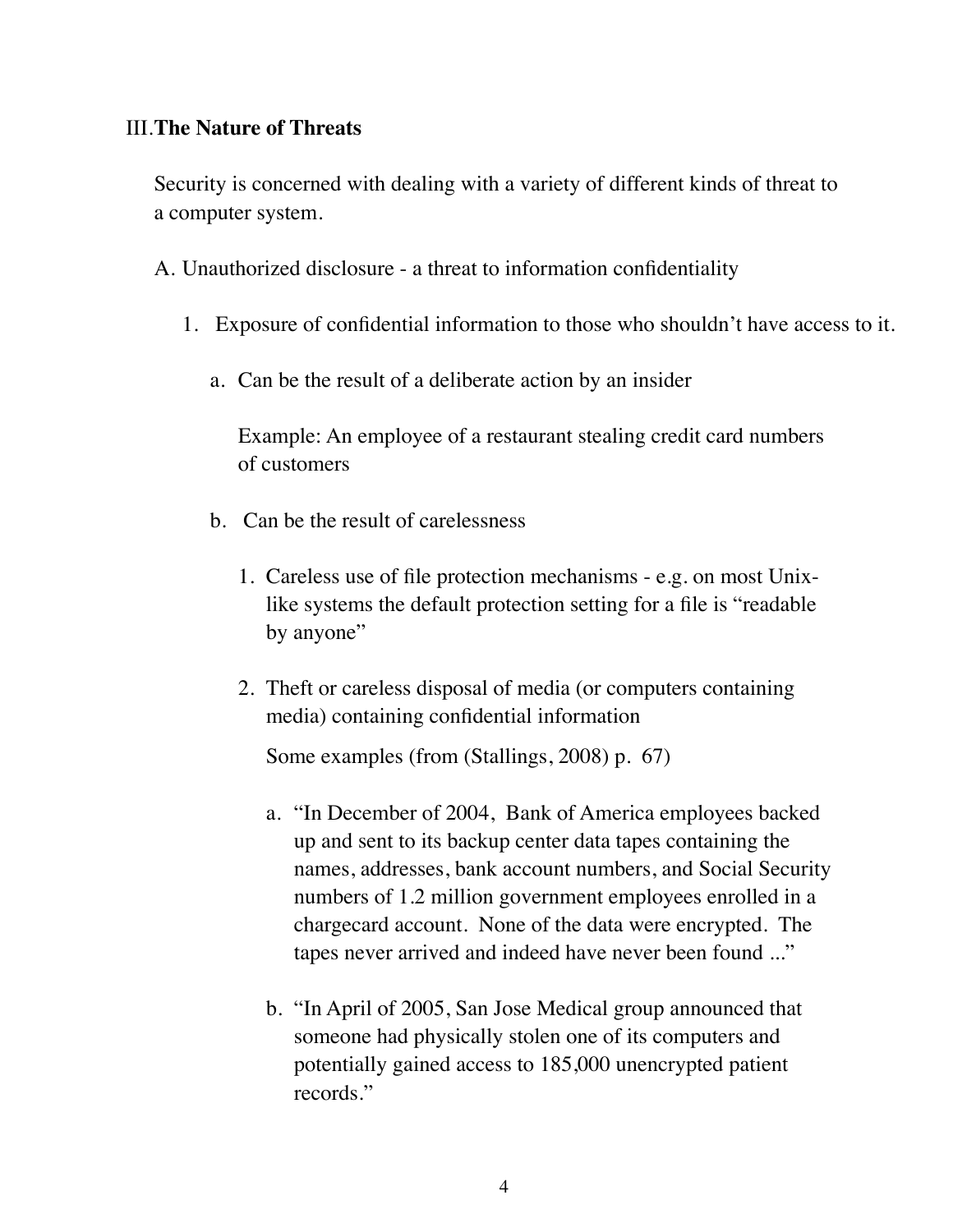### III.**The Nature of Threats**

Security is concerned with dealing with a variety of different kinds of threat to a computer system.

A. Unauthorized disclosure - a threat to information confidentiality

- 1. Exposure of confidential information to those who shouldn't have access to it.
	- a. Can be the result of a deliberate action by an insider

Example: An employee of a restaurant stealing credit card numbers of customers

- b. Can be the result of carelessness
	- 1. Careless use of file protection mechanisms e.g. on most Unixlike systems the default protection setting for a file is "readable by anyone"
	- 2. Theft or careless disposal of media (or computers containing media) containing confidential information

Some examples (from (Stallings, 2008) p. 67)

- a. "In December of 2004, Bank of America employees backed up and sent to its backup center data tapes containing the names, addresses, bank account numbers, and Social Security numbers of 1.2 million government employees enrolled in a chargecard account. None of the data were encrypted. The tapes never arrived and indeed have never been found ..."
- b. "In April of 2005, San Jose Medical group announced that someone had physically stolen one of its computers and potentially gained access to 185,000 unencrypted patient records."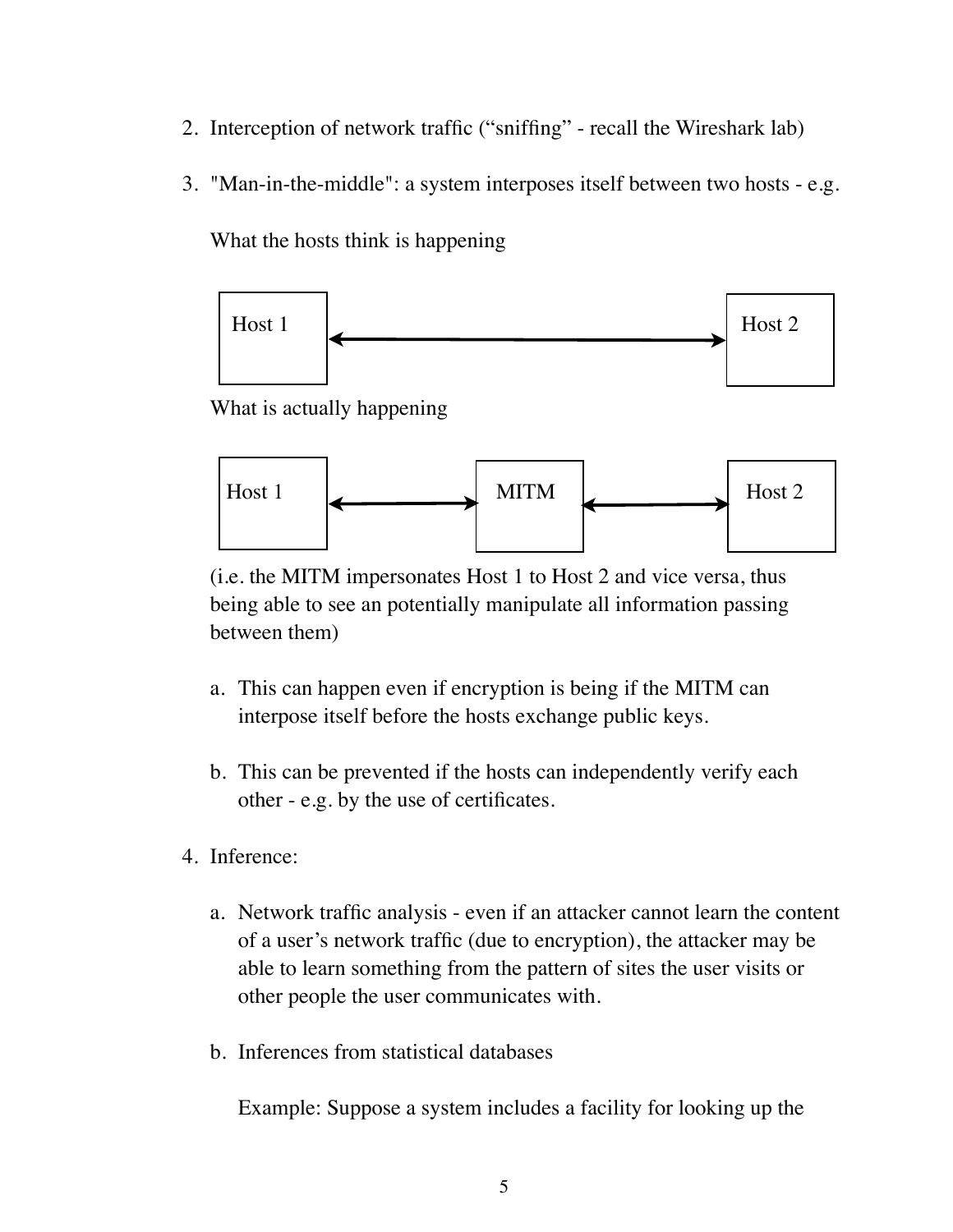- 2. Interception of network traffic ("sniffing" recall the Wireshark lab)
- 3. "Man-in-the-middle": a system interposes itself between two hosts e.g.

What the hosts think is happening



What is actually happening



(i.e. the MITM impersonates Host 1 to Host 2 and vice versa, thus being able to see an potentially manipulate all information passing between them)

- a. This can happen even if encryption is being if the MITM can interpose itself before the hosts exchange public keys.
- b. This can be prevented if the hosts can independently verify each other - e.g. by the use of certificates.
- 4. Inference:
	- a. Network traffic analysis even if an attacker cannot learn the content of a user's network traffic (due to encryption), the attacker may be able to learn something from the pattern of sites the user visits or other people the user communicates with.
	- b. Inferences from statistical databases

Example: Suppose a system includes a facility for looking up the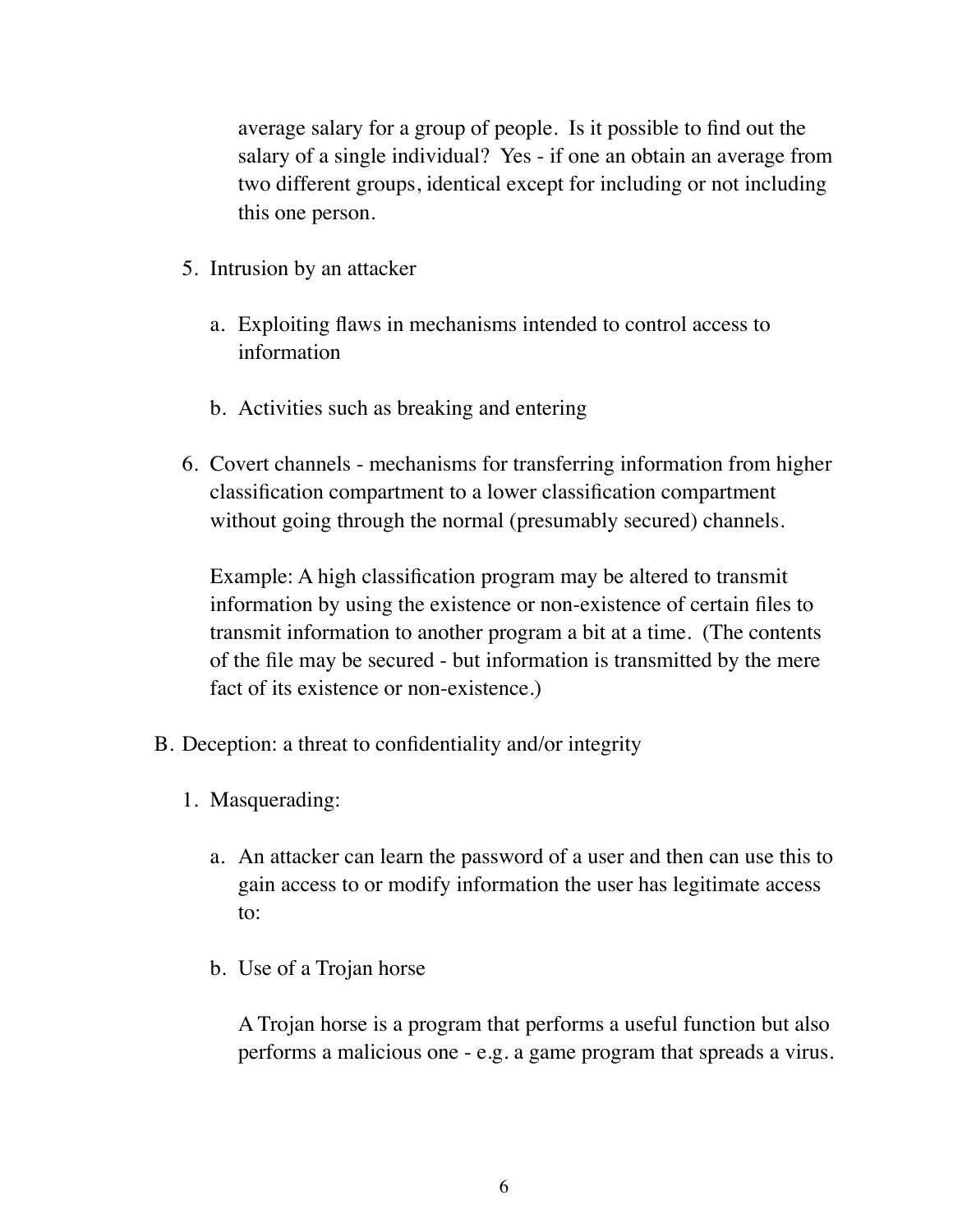average salary for a group of people. Is it possible to find out the salary of a single individual? Yes - if one an obtain an average from two different groups, identical except for including or not including this one person.

- 5. Intrusion by an attacker
	- a. Exploiting flaws in mechanisms intended to control access to information
	- b. Activities such as breaking and entering
- 6. Covert channels mechanisms for transferring information from higher classification compartment to a lower classification compartment without going through the normal (presumably secured) channels.

Example: A high classification program may be altered to transmit information by using the existence or non-existence of certain files to transmit information to another program a bit at a time. (The contents of the file may be secured - but information is transmitted by the mere fact of its existence or non-existence.)

- B. Deception: a threat to confidentiality and/or integrity
	- 1. Masquerading:
		- a. An attacker can learn the password of a user and then can use this to gain access to or modify information the user has legitimate access to:
		- b. Use of a Trojan horse

A Trojan horse is a program that performs a useful function but also performs a malicious one - e.g. a game program that spreads a virus.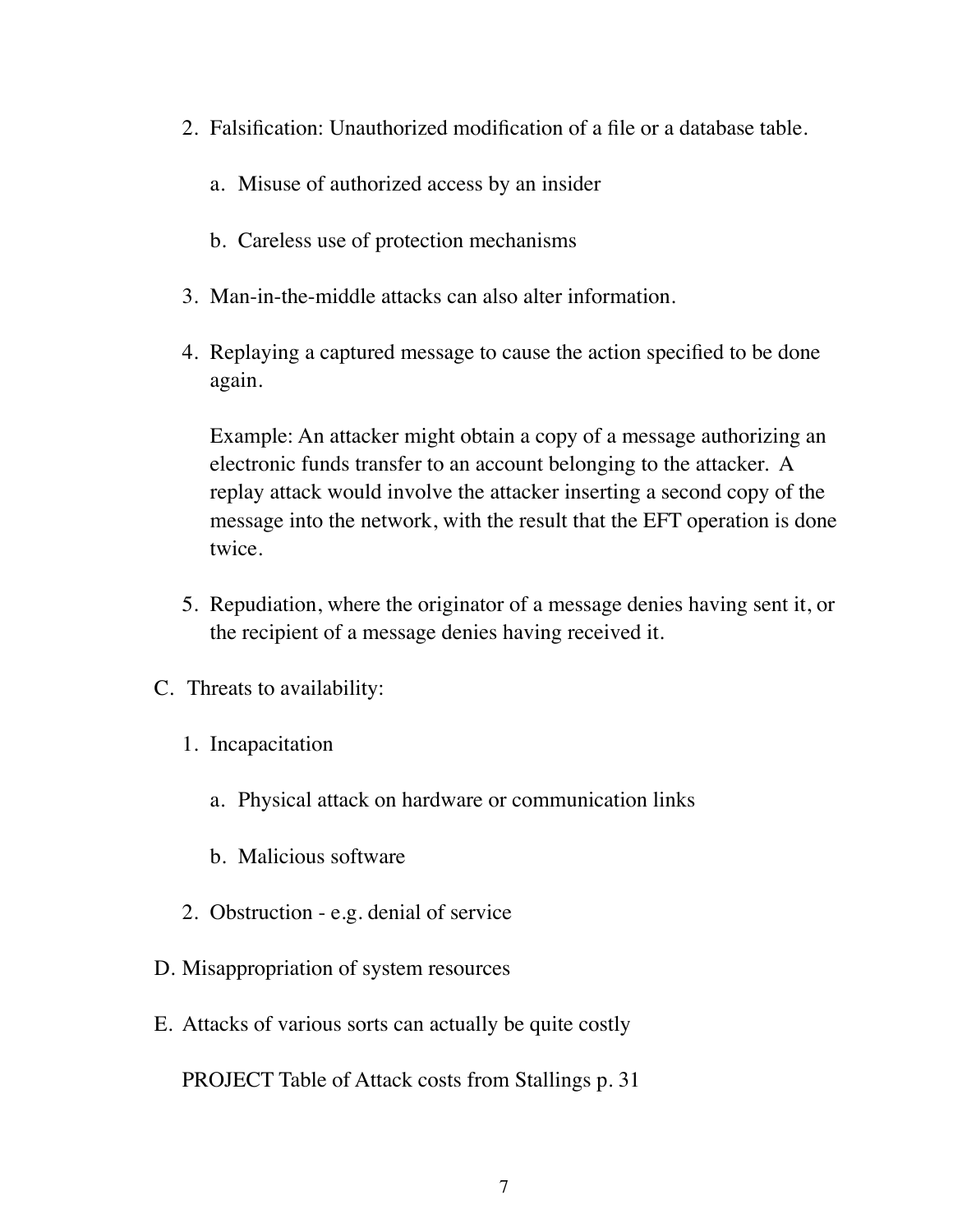- 2. Falsification: Unauthorized modification of a file or a database table.
	- a. Misuse of authorized access by an insider
	- b. Careless use of protection mechanisms
- 3. Man-in-the-middle attacks can also alter information.
- 4. Replaying a captured message to cause the action specified to be done again.

Example: An attacker might obtain a copy of a message authorizing an electronic funds transfer to an account belonging to the attacker. A replay attack would involve the attacker inserting a second copy of the message into the network, with the result that the EFT operation is done twice.

- 5. Repudiation, where the originator of a message denies having sent it, or the recipient of a message denies having received it.
- C. Threats to availability:
	- 1. Incapacitation
		- a. Physical attack on hardware or communication links
		- b. Malicious software
	- 2. Obstruction e.g. denial of service
- D. Misappropriation of system resources
- E. Attacks of various sorts can actually be quite costly

PROJECT Table of Attack costs from Stallings p. 31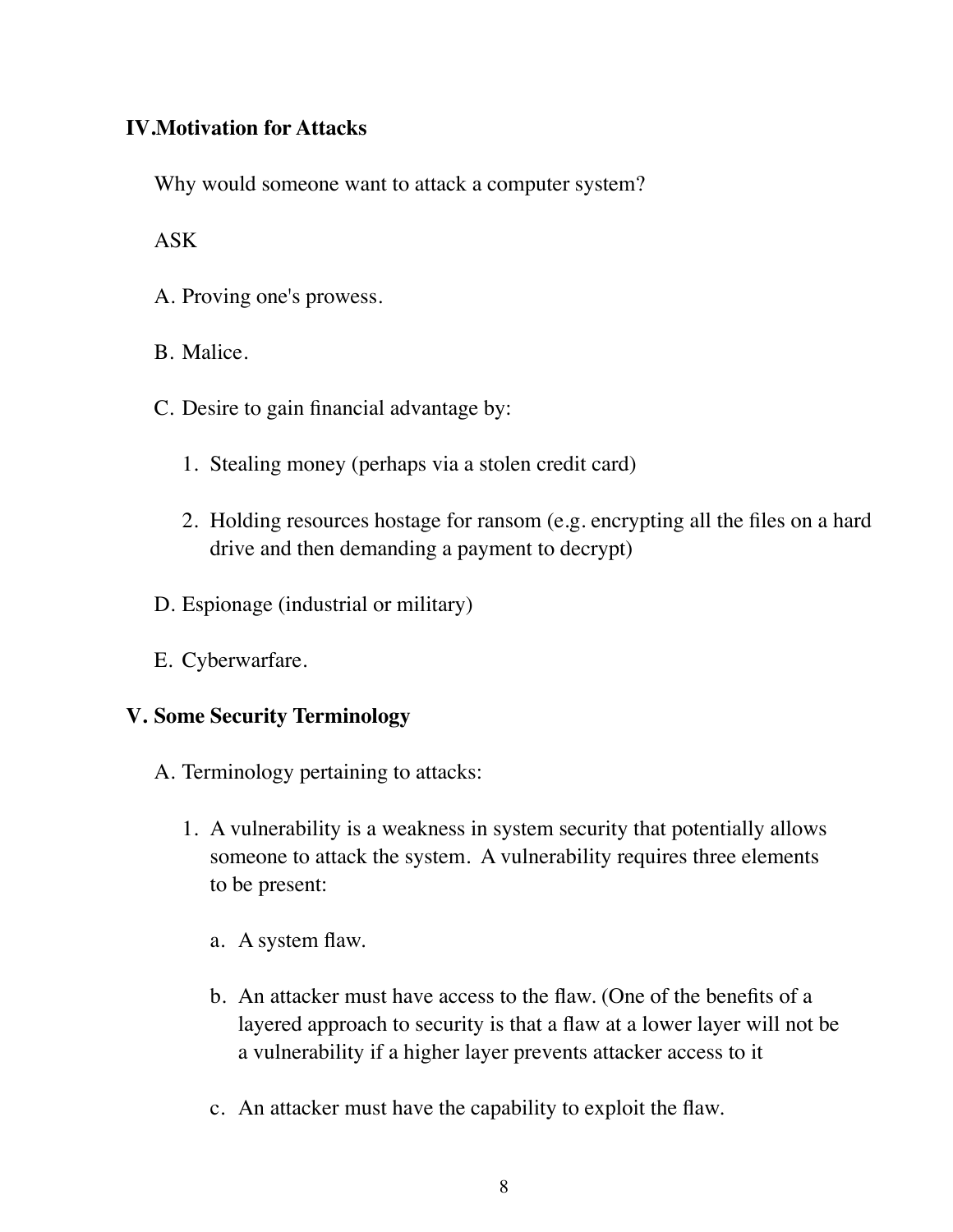# **IV.Motivation for Attacks**

Why would someone want to attack a computer system?

ASK

A. Proving one's prowess.

B. Malice.

- C. Desire to gain financial advantage by:
	- 1. Stealing money (perhaps via a stolen credit card)
	- 2. Holding resources hostage for ransom (e.g. encrypting all the files on a hard drive and then demanding a payment to decrypt)
- D. Espionage (industrial or military)
- E. Cyberwarfare.

## **V. Some Security Terminology**

- A. Terminology pertaining to attacks:
	- 1. A vulnerability is a weakness in system security that potentially allows someone to attack the system. A vulnerability requires three elements to be present:
		- a. A system flaw.
		- b. An attacker must have access to the flaw. (One of the benefits of a layered approach to security is that a flaw at a lower layer will not be a vulnerability if a higher layer prevents attacker access to it
		- c. An attacker must have the capability to exploit the flaw.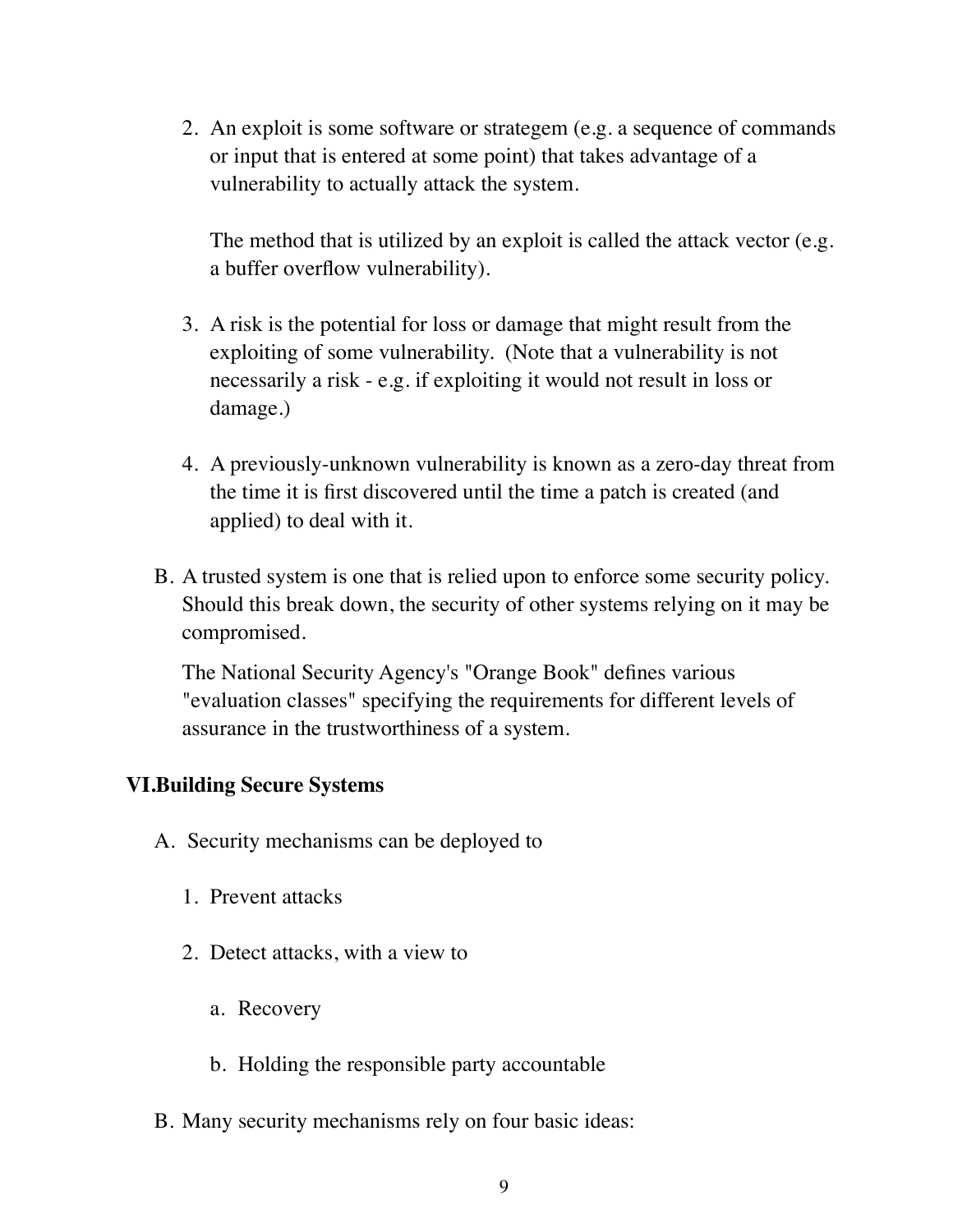2. An exploit is some software or strategem (e.g. a sequence of commands or input that is entered at some point) that takes advantage of a vulnerability to actually attack the system.

The method that is utilized by an exploit is called the attack vector (e.g. a buffer overflow vulnerability).

- 3. A risk is the potential for loss or damage that might result from the exploiting of some vulnerability. (Note that a vulnerability is not necessarily a risk - e.g. if exploiting it would not result in loss or damage.)
- 4. A previously-unknown vulnerability is known as a zero-day threat from the time it is first discovered until the time a patch is created (and applied) to deal with it.
- B. A trusted system is one that is relied upon to enforce some security policy. Should this break down, the security of other systems relying on it may be compromised.

The National Security Agency's "Orange Book" defines various "evaluation classes" specifying the requirements for different levels of assurance in the trustworthiness of a system.

#### **VI.Building Secure Systems**

- A. Security mechanisms can be deployed to
	- 1. Prevent attacks
	- 2. Detect attacks, with a view to
		- a. Recovery
		- b. Holding the responsible party accountable
- B. Many security mechanisms rely on four basic ideas: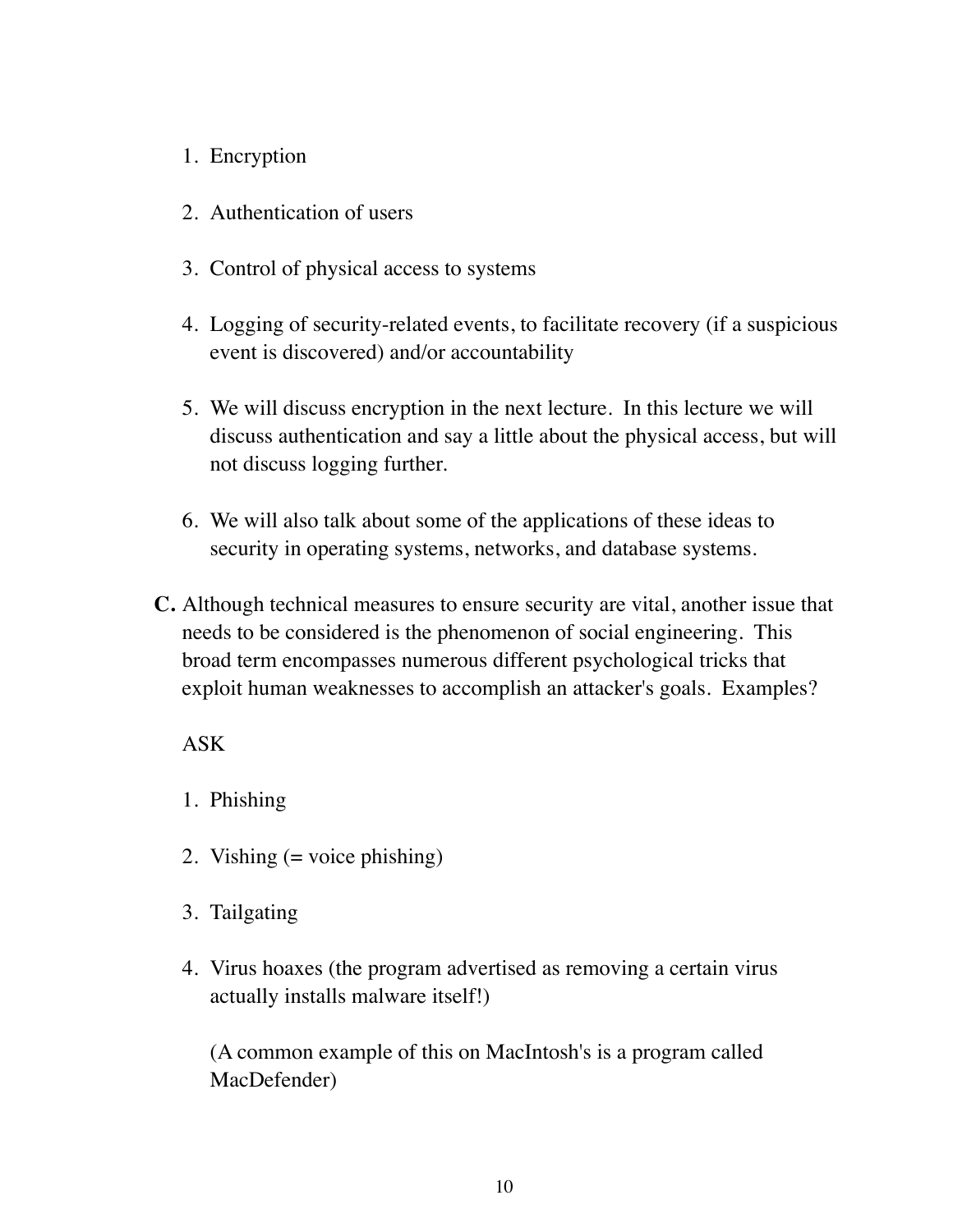- 1. Encryption
- 2. Authentication of users
- 3. Control of physical access to systems
- 4. Logging of security-related events, to facilitate recovery (if a suspicious event is discovered) and/or accountability
- 5. We will discuss encryption in the next lecture. In this lecture we will discuss authentication and say a little about the physical access, but will not discuss logging further.
- 6. We will also talk about some of the applications of these ideas to security in operating systems, networks, and database systems.
- **C.** Although technical measures to ensure security are vital, another issue that needs to be considered is the phenomenon of social engineering. This broad term encompasses numerous different psychological tricks that exploit human weaknesses to accomplish an attacker's goals. Examples?

# ASK

- 1. Phishing
- 2. Vishing  $(=$  voice phishing)
- 3. Tailgating
- 4. Virus hoaxes (the program advertised as removing a certain virus actually installs malware itself!)

(A common example of this on MacIntosh's is a program called MacDefender)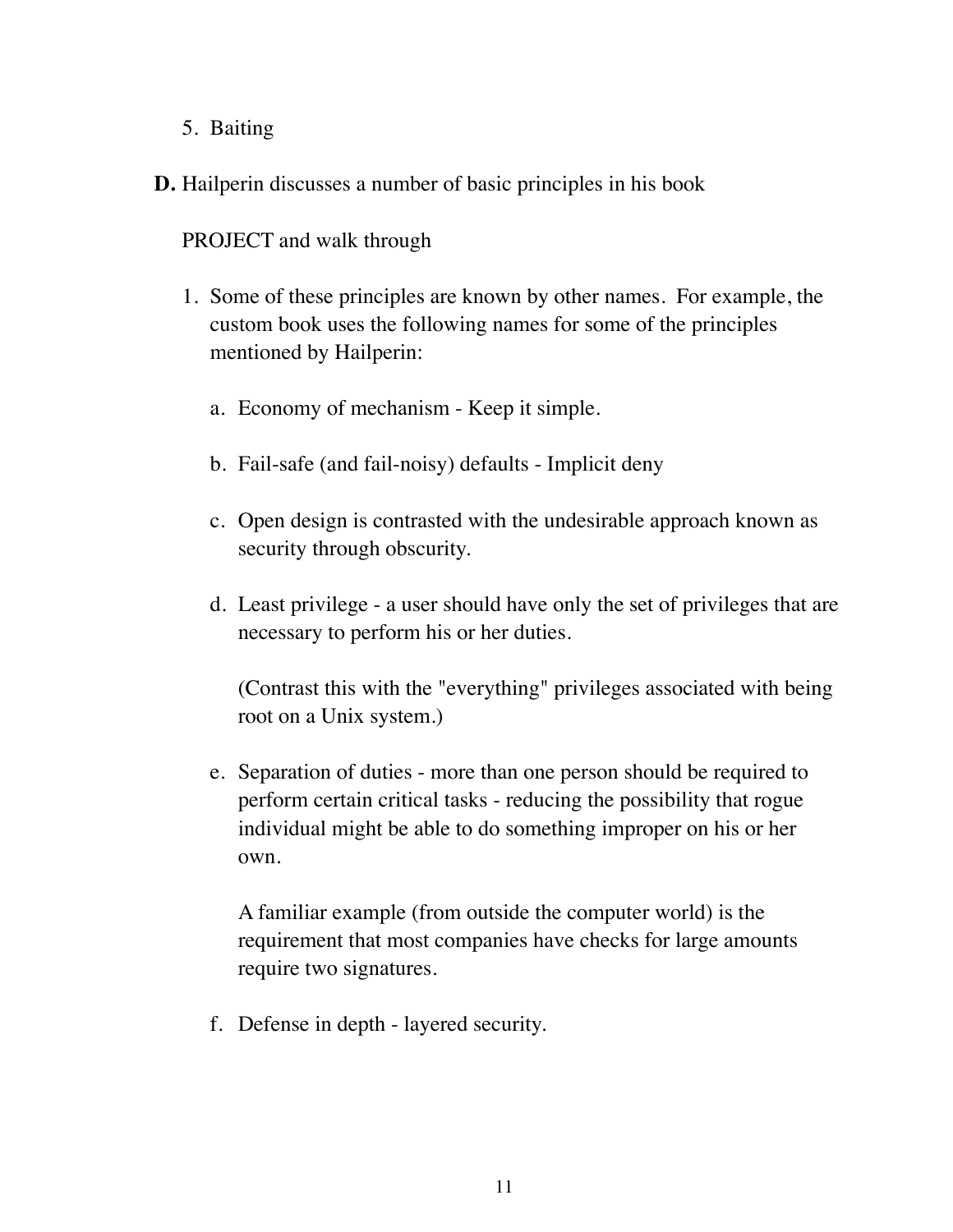- 5. Baiting
- **D.** Hailperin discusses a number of basic principles in his book

PROJECT and walk through

- 1. Some of these principles are known by other names. For example, the custom book uses the following names for some of the principles mentioned by Hailperin:
	- a. Economy of mechanism Keep it simple.
	- b. Fail-safe (and fail-noisy) defaults Implicit deny
	- c. Open design is contrasted with the undesirable approach known as security through obscurity.
	- d. Least privilege a user should have only the set of privileges that are necessary to perform his or her duties.

(Contrast this with the "everything" privileges associated with being root on a Unix system.)

e. Separation of duties - more than one person should be required to perform certain critical tasks - reducing the possibility that rogue individual might be able to do something improper on his or her own.

A familiar example (from outside the computer world) is the requirement that most companies have checks for large amounts require two signatures.

f. Defense in depth - layered security.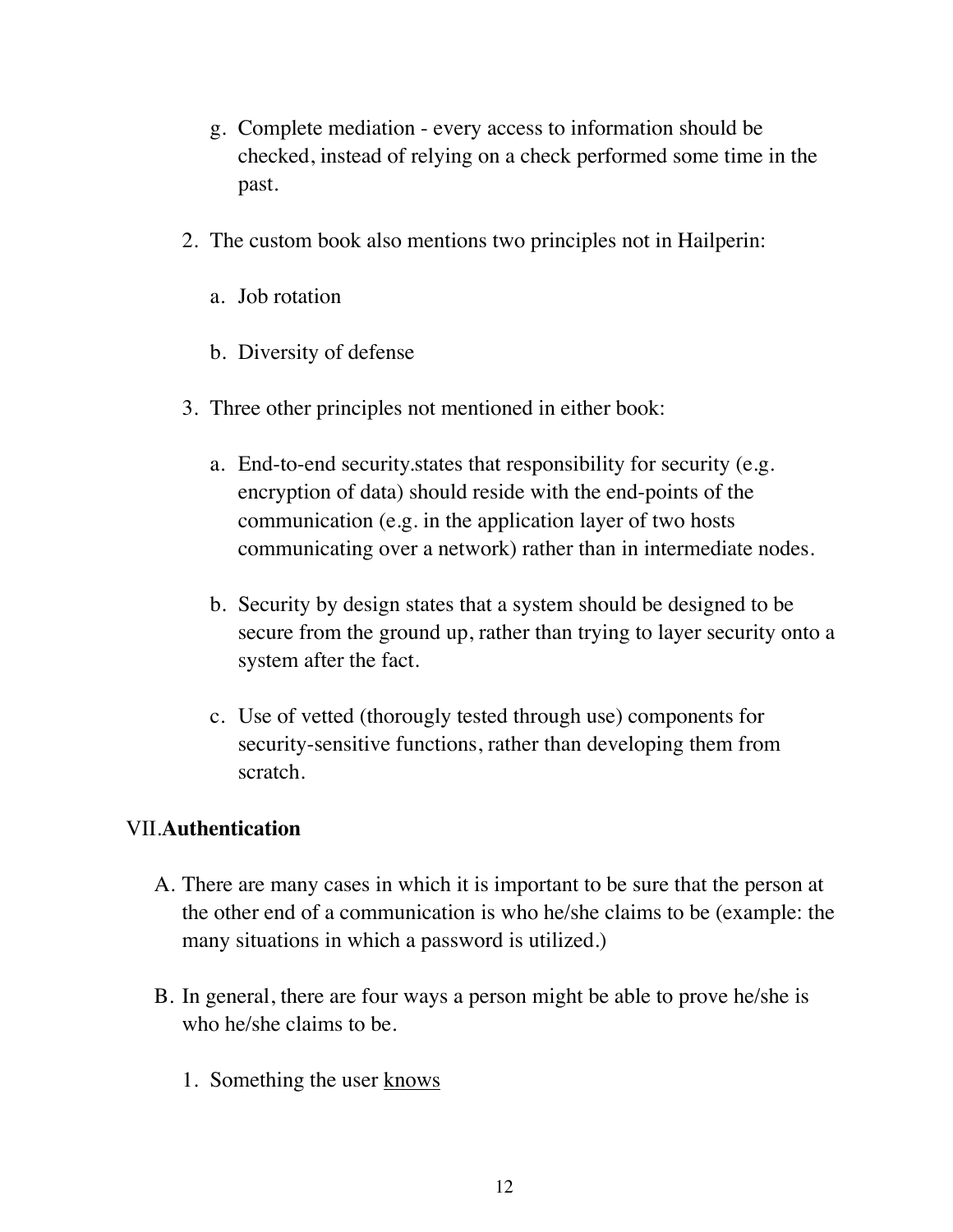- g. Complete mediation every access to information should be checked, instead of relying on a check performed some time in the past.
- 2. The custom book also mentions two principles not in Hailperin:
	- a. Job rotation
	- b. Diversity of defense
- 3. Three other principles not mentioned in either book:
	- a. End-to-end security.states that responsibility for security (e.g. encryption of data) should reside with the end-points of the communication (e.g. in the application layer of two hosts communicating over a network) rather than in intermediate nodes.
	- b. Security by design states that a system should be designed to be secure from the ground up, rather than trying to layer security onto a system after the fact.
	- c. Use of vetted (thorougly tested through use) components for security-sensitive functions, rather than developing them from scratch.

#### VII.**Authentication**

- A. There are many cases in which it is important to be sure that the person at the other end of a communication is who he/she claims to be (example: the many situations in which a password is utilized.)
- B. In general, there are four ways a person might be able to prove he/she is who he/she claims to be.
	- 1. Something the user knows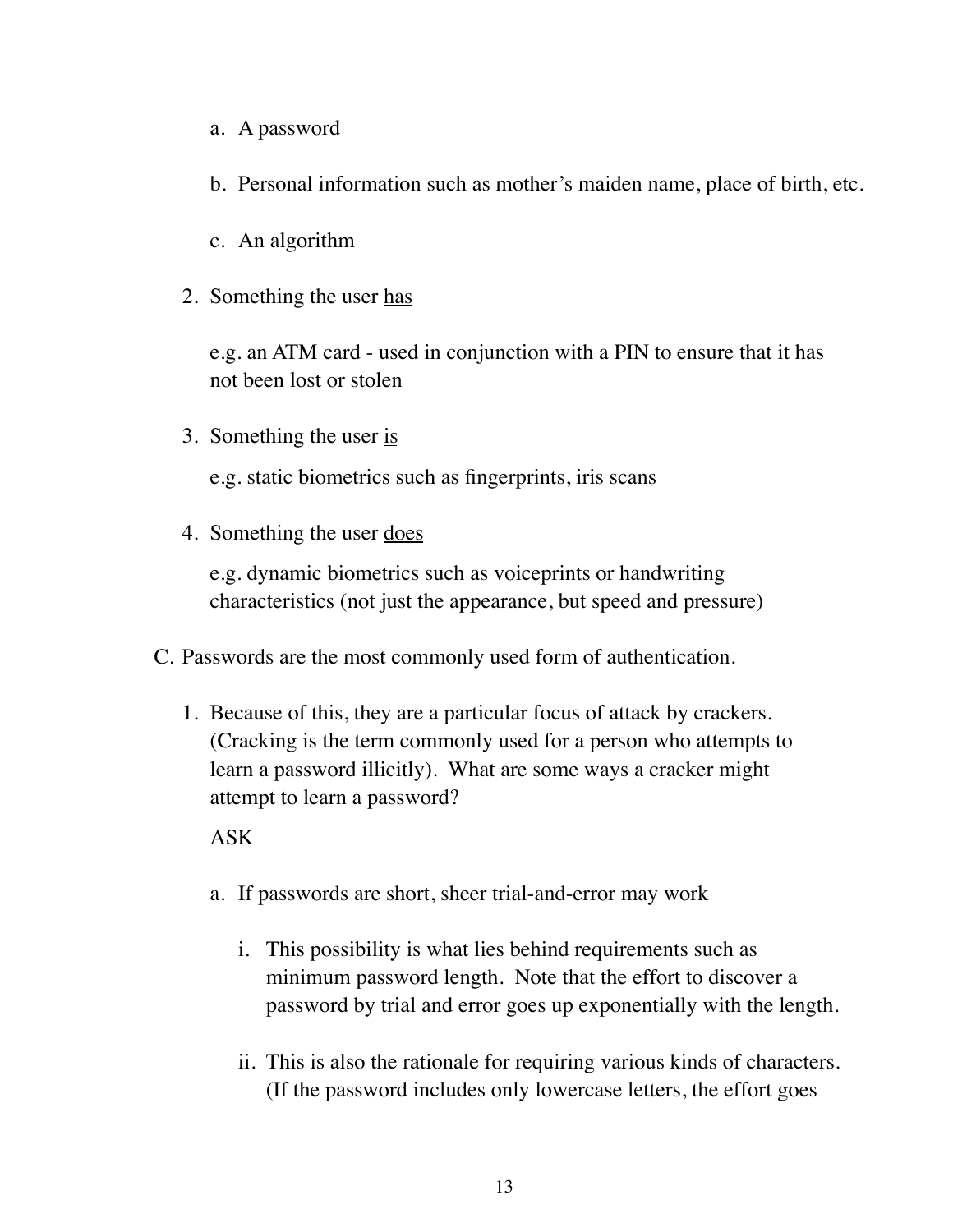- a. A password
- b. Personal information such as mother's maiden name, place of birth, etc.
- c. An algorithm
- 2. Something the user has

e.g. an ATM card - used in conjunction with a PIN to ensure that it has not been lost or stolen

3. Something the user is

e.g. static biometrics such as fingerprints, iris scans

4. Something the user <u>does</u>

e.g. dynamic biometrics such as voiceprints or handwriting characteristics (not just the appearance, but speed and pressure)

- C. Passwords are the most commonly used form of authentication.
	- 1. Because of this, they are a particular focus of attack by crackers. (Cracking is the term commonly used for a person who attempts to learn a password illicitly). What are some ways a cracker might attempt to learn a password?

#### ASK

- a. If passwords are short, sheer trial-and-error may work
	- i. This possibility is what lies behind requirements such as minimum password length. Note that the effort to discover a password by trial and error goes up exponentially with the length.
	- ii. This is also the rationale for requiring various kinds of characters. (If the password includes only lowercase letters, the effort goes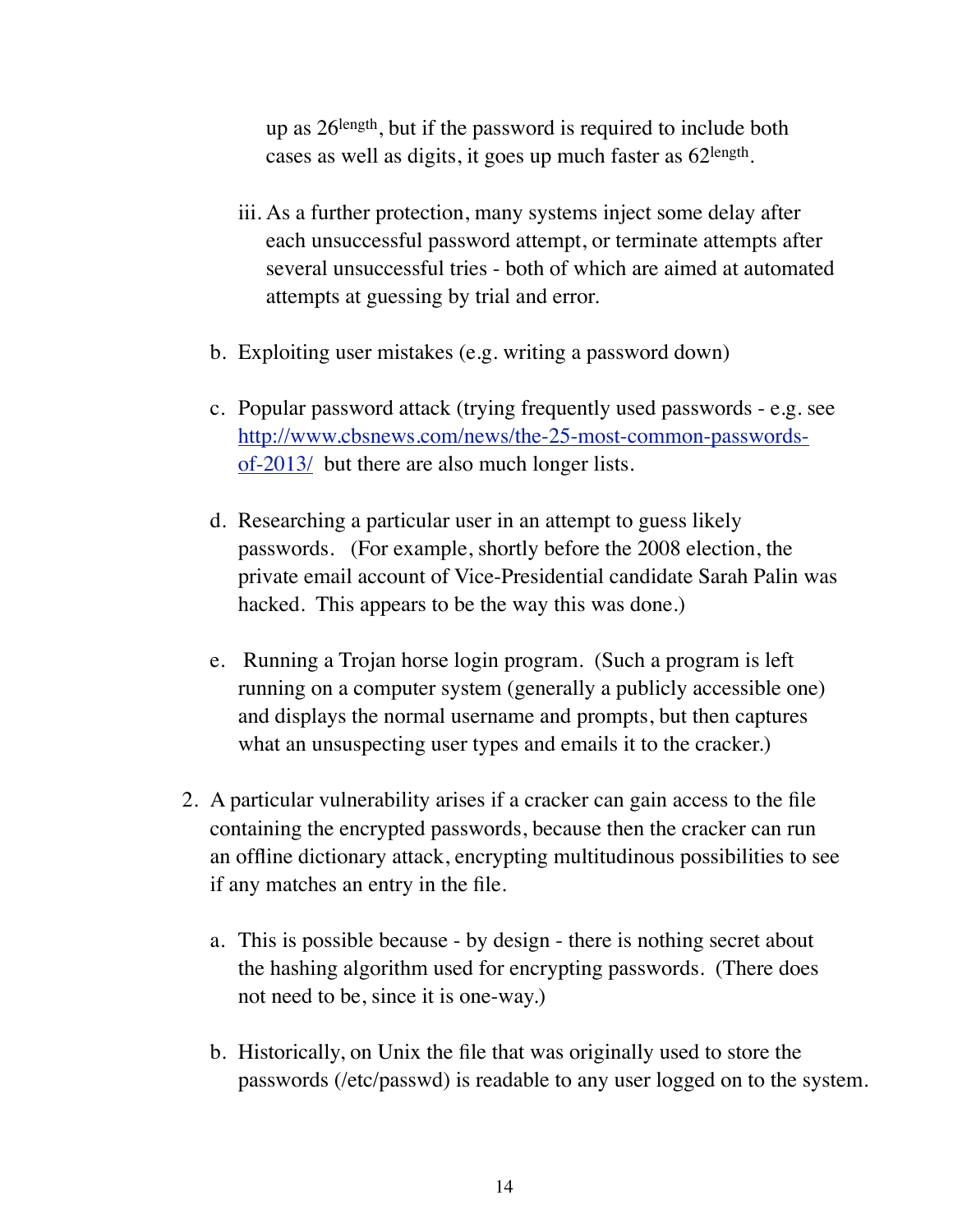up as 26length, but if the password is required to include both cases as well as digits, it goes up much faster as 62length.

- iii. As a further protection, many systems inject some delay after each unsuccessful password attempt, or terminate attempts after several unsuccessful tries - both of which are aimed at automated attempts at guessing by trial and error.
- b. Exploiting user mistakes (e.g. writing a password down)
- c. Popular password attack (trying frequently used passwords e.g. see [http://www.cbsnews.com/news/the-25-most-common-passwords](http://www.cbsnews.com/news/the-25-most-common-passwords-of-2013/)[of-2013/](http://www.cbsnews.com/news/the-25-most-common-passwords-of-2013/) but there are also much longer lists.
- d. Researching a particular user in an attempt to guess likely passwords. (For example, shortly before the 2008 election, the private email account of Vice-Presidential candidate Sarah Palin was hacked. This appears to be the way this was done.)
- e. Running a Trojan horse login program. (Such a program is left running on a computer system (generally a publicly accessible one) and displays the normal username and prompts, but then captures what an unsuspecting user types and emails it to the cracker.)
- 2. A particular vulnerability arises if a cracker can gain access to the file containing the encrypted passwords, because then the cracker can run an offline dictionary attack, encrypting multitudinous possibilities to see if any matches an entry in the file.
	- a. This is possible because by design there is nothing secret about the hashing algorithm used for encrypting passwords. (There does not need to be, since it is one-way.)
	- b. Historically, on Unix the file that was originally used to store the passwords (/etc/passwd) is readable to any user logged on to the system.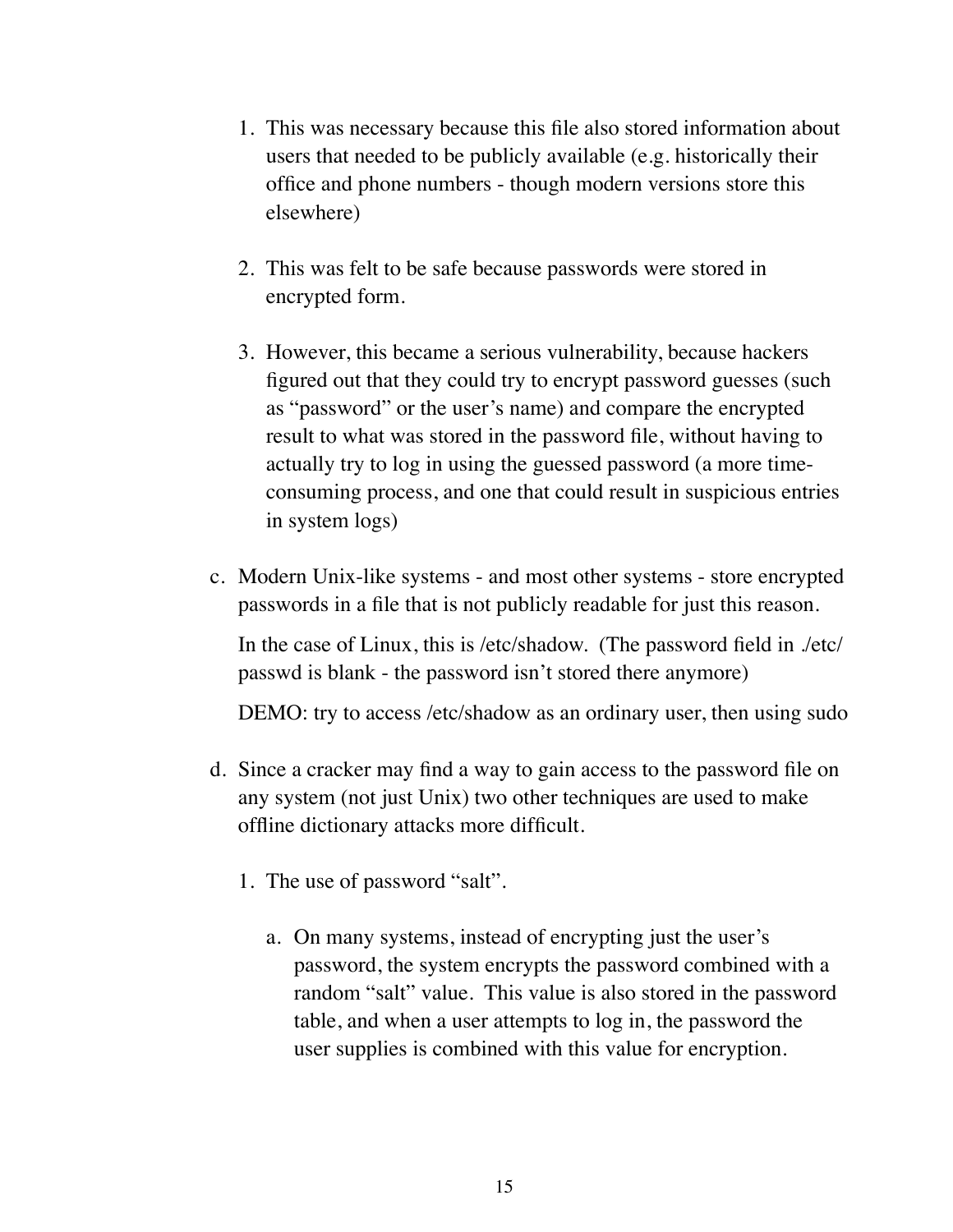- 1. This was necessary because this file also stored information about users that needed to be publicly available (e.g. historically their office and phone numbers - though modern versions store this elsewhere)
- 2. This was felt to be safe because passwords were stored in encrypted form.
- 3. However, this became a serious vulnerability, because hackers figured out that they could try to encrypt password guesses (such as "password" or the user's name) and compare the encrypted result to what was stored in the password file, without having to actually try to log in using the guessed password (a more timeconsuming process, and one that could result in suspicious entries in system logs)
- c. Modern Unix-like systems and most other systems store encrypted passwords in a file that is not publicly readable for just this reason.

In the case of Linux, this is /etc/shadow. (The password field in ./etc/ passwd is blank - the password isn't stored there anymore)

DEMO: try to access /etc/shadow as an ordinary user, then using sudo

- d. Since a cracker may find a way to gain access to the password file on any system (not just Unix) two other techniques are used to make offline dictionary attacks more difficult.
	- 1. The use of password "salt".
		- a. On many systems, instead of encrypting just the user's password, the system encrypts the password combined with a random "salt" value. This value is also stored in the password table, and when a user attempts to log in, the password the user supplies is combined with this value for encryption.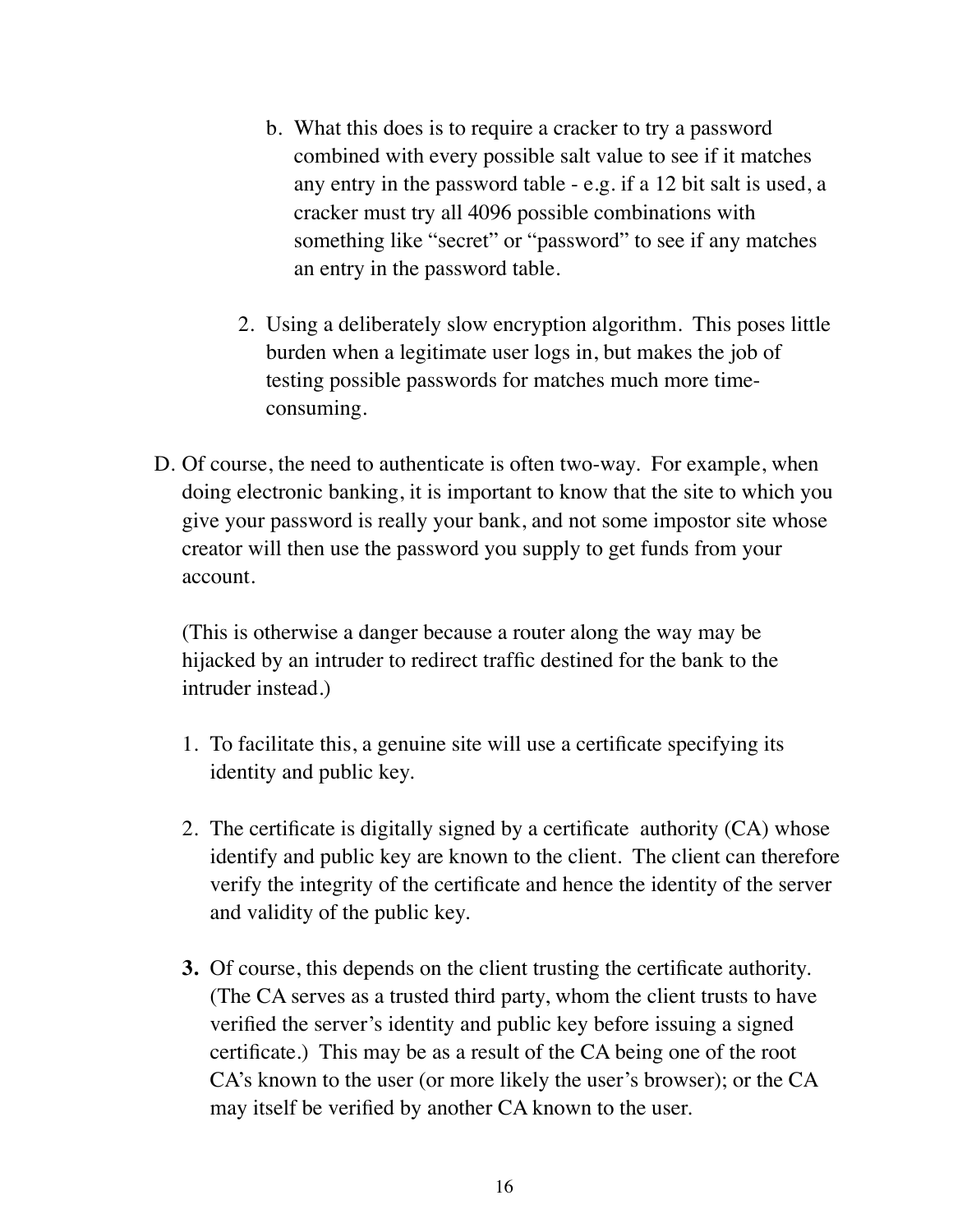- b. What this does is to require a cracker to try a password combined with every possible salt value to see if it matches any entry in the password table - e.g. if a 12 bit salt is used, a cracker must try all 4096 possible combinations with something like "secret" or "password" to see if any matches an entry in the password table.
- 2. Using a deliberately slow encryption algorithm. This poses little burden when a legitimate user logs in, but makes the job of testing possible passwords for matches much more timeconsuming.
- D. Of course, the need to authenticate is often two-way. For example, when doing electronic banking, it is important to know that the site to which you give your password is really your bank, and not some impostor site whose creator will then use the password you supply to get funds from your account.

(This is otherwise a danger because a router along the way may be hijacked by an intruder to redirect traffic destined for the bank to the intruder instead.)

- 1. To facilitate this, a genuine site will use a certificate specifying its identity and public key.
- 2. The certificate is digitally signed by a certificate authority (CA) whose identify and public key are known to the client. The client can therefore verify the integrity of the certificate and hence the identity of the server and validity of the public key.
- **3.** Of course, this depends on the client trusting the certificate authority. (The CA serves as a trusted third party, whom the client trusts to have verified the server's identity and public key before issuing a signed certificate.) This may be as a result of the CA being one of the root CA's known to the user (or more likely the user's browser); or the CA may itself be verified by another CA known to the user.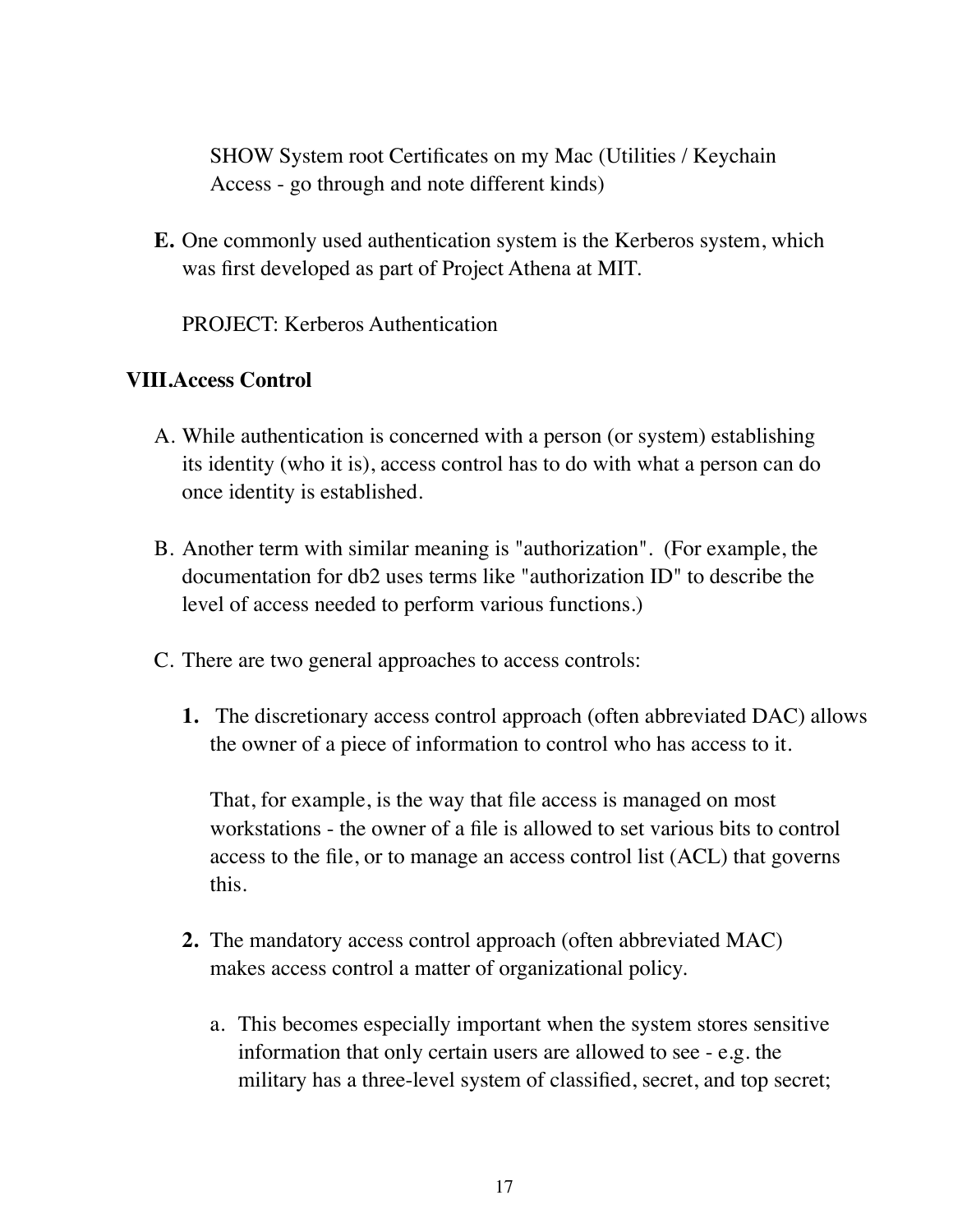SHOW System root Certificates on my Mac (Utilities / Keychain Access - go through and note different kinds)

**E.** One commonly used authentication system is the Kerberos system, which was first developed as part of Project Athena at MIT.

PROJECT: Kerberos Authentication

### **VIII.Access Control**

- A. While authentication is concerned with a person (or system) establishing its identity (who it is), access control has to do with what a person can do once identity is established.
- B. Another term with similar meaning is "authorization". (For example, the documentation for db2 uses terms like "authorization ID" to describe the level of access needed to perform various functions.)
- C. There are two general approaches to access controls:
	- **1.** The discretionary access control approach (often abbreviated DAC) allows the owner of a piece of information to control who has access to it.

That, for example, is the way that file access is managed on most workstations - the owner of a file is allowed to set various bits to control access to the file, or to manage an access control list (ACL) that governs this.

- **2.** The mandatory access control approach (often abbreviated MAC) makes access control a matter of organizational policy.
	- a. This becomes especially important when the system stores sensitive information that only certain users are allowed to see - e.g. the military has a three-level system of classified, secret, and top secret;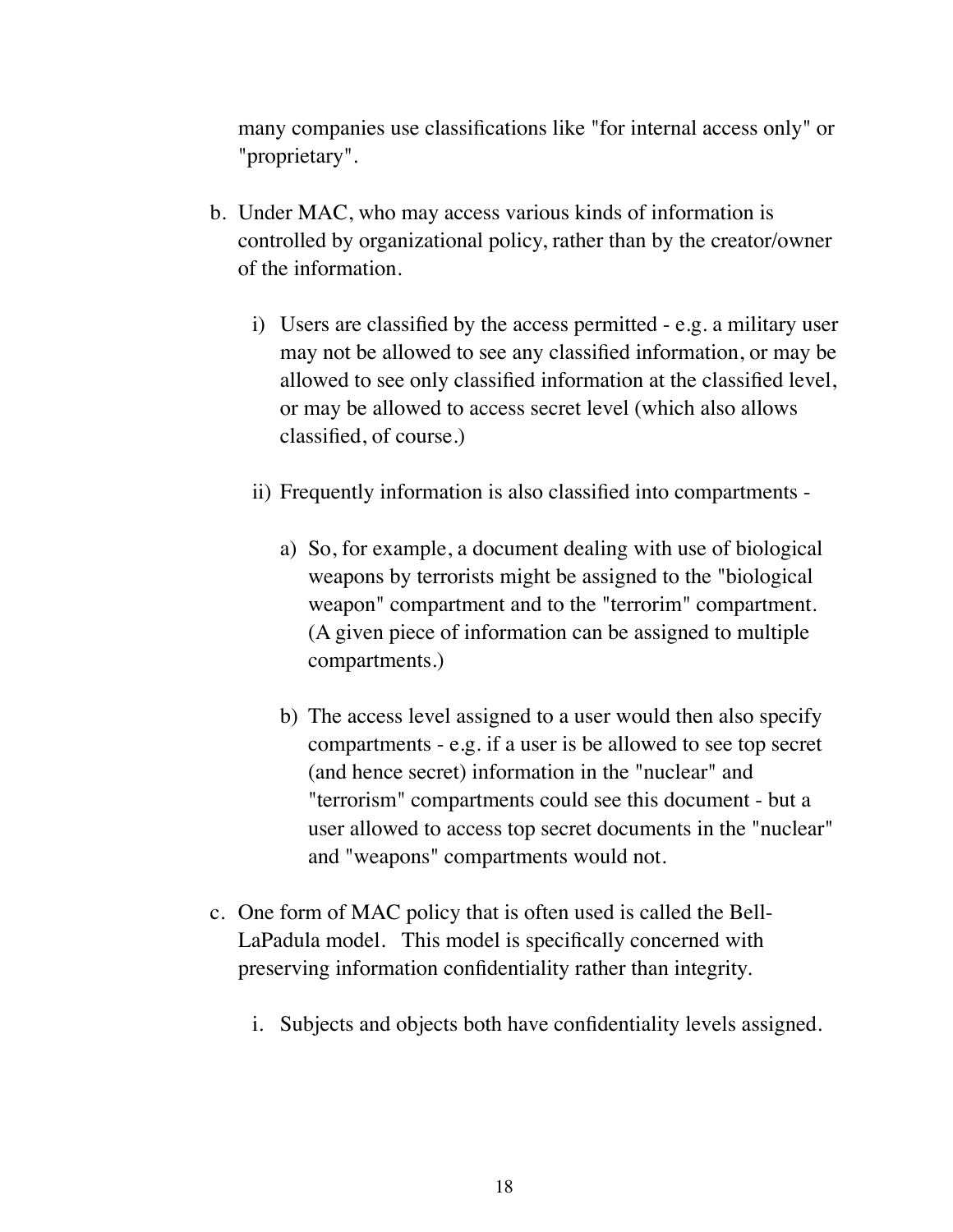many companies use classifications like "for internal access only" or "proprietary".

- b. Under MAC, who may access various kinds of information is controlled by organizational policy, rather than by the creator/owner of the information.
	- i) Users are classified by the access permitted e.g. a military user may not be allowed to see any classified information, or may be allowed to see only classified information at the classified level, or may be allowed to access secret level (which also allows classified, of course.)
	- ii) Frequently information is also classified into compartments
		- a) So, for example, a document dealing with use of biological weapons by terrorists might be assigned to the "biological weapon" compartment and to the "terrorim" compartment. (A given piece of information can be assigned to multiple compartments.)
		- b) The access level assigned to a user would then also specify compartments - e.g. if a user is be allowed to see top secret (and hence secret) information in the "nuclear" and "terrorism" compartments could see this document - but a user allowed to access top secret documents in the "nuclear" and "weapons" compartments would not.
- c. One form of MAC policy that is often used is called the Bell-LaPadula model. This model is specifically concerned with preserving information confidentiality rather than integrity.
	- i. Subjects and objects both have confidentiality levels assigned.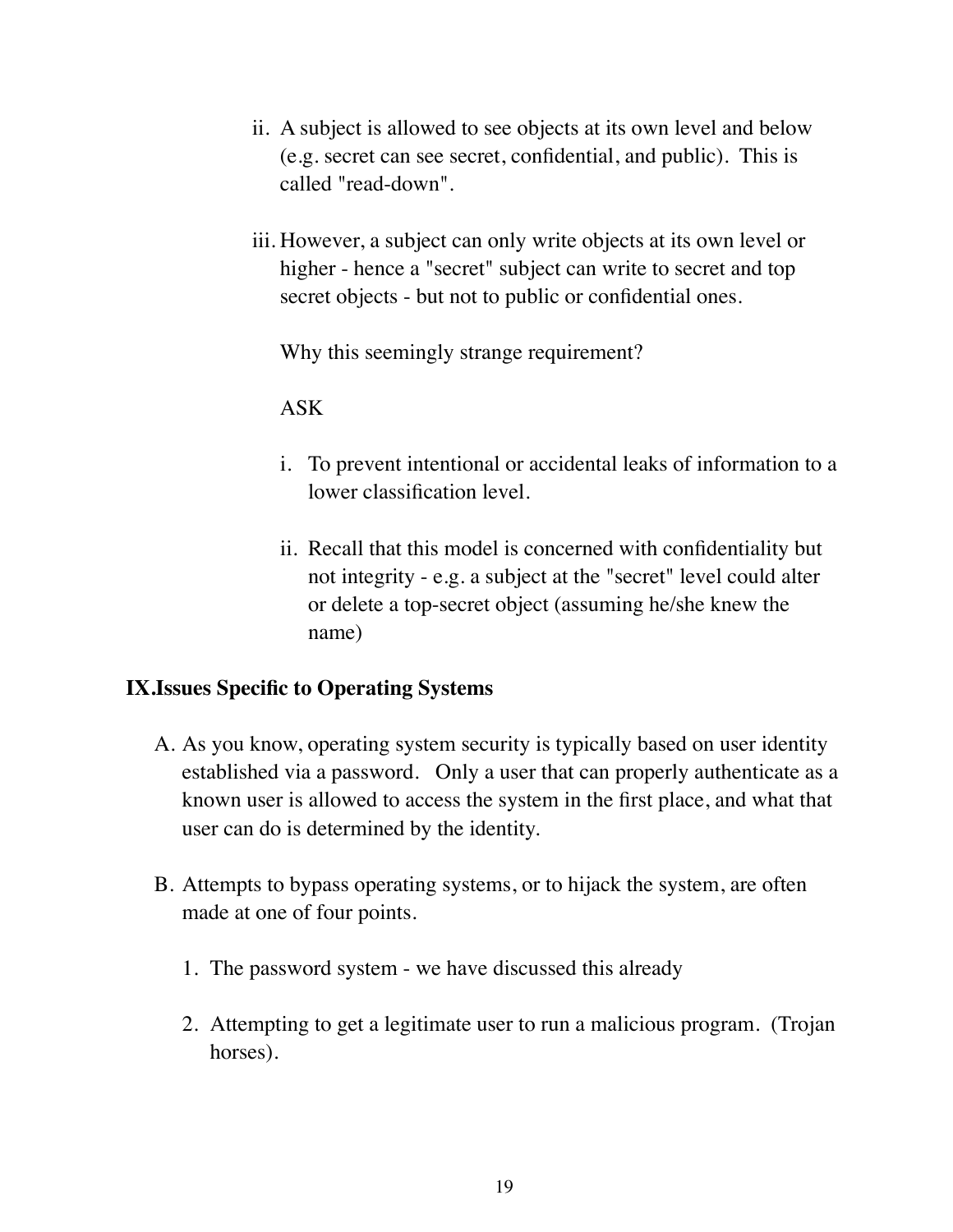- ii. A subject is allowed to see objects at its own level and below (e.g. secret can see secret, confidential, and public). This is called "read-down".
- iii. However, a subject can only write objects at its own level or higher - hence a "secret" subject can write to secret and top secret objects - but not to public or confidential ones.

Why this seemingly strange requirement?

ASK

- i. To prevent intentional or accidental leaks of information to a lower classification level.
- ii. Recall that this model is concerned with confidentiality but not integrity - e.g. a subject at the "secret" level could alter or delete a top-secret object (assuming he/she knew the name)

## **IX.Issues Specific to Operating Systems**

- A. As you know, operating system security is typically based on user identity established via a password. Only a user that can properly authenticate as a known user is allowed to access the system in the first place, and what that user can do is determined by the identity.
- B. Attempts to bypass operating systems, or to hijack the system, are often made at one of four points.
	- 1. The password system we have discussed this already
	- 2. Attempting to get a legitimate user to run a malicious program. (Trojan horses).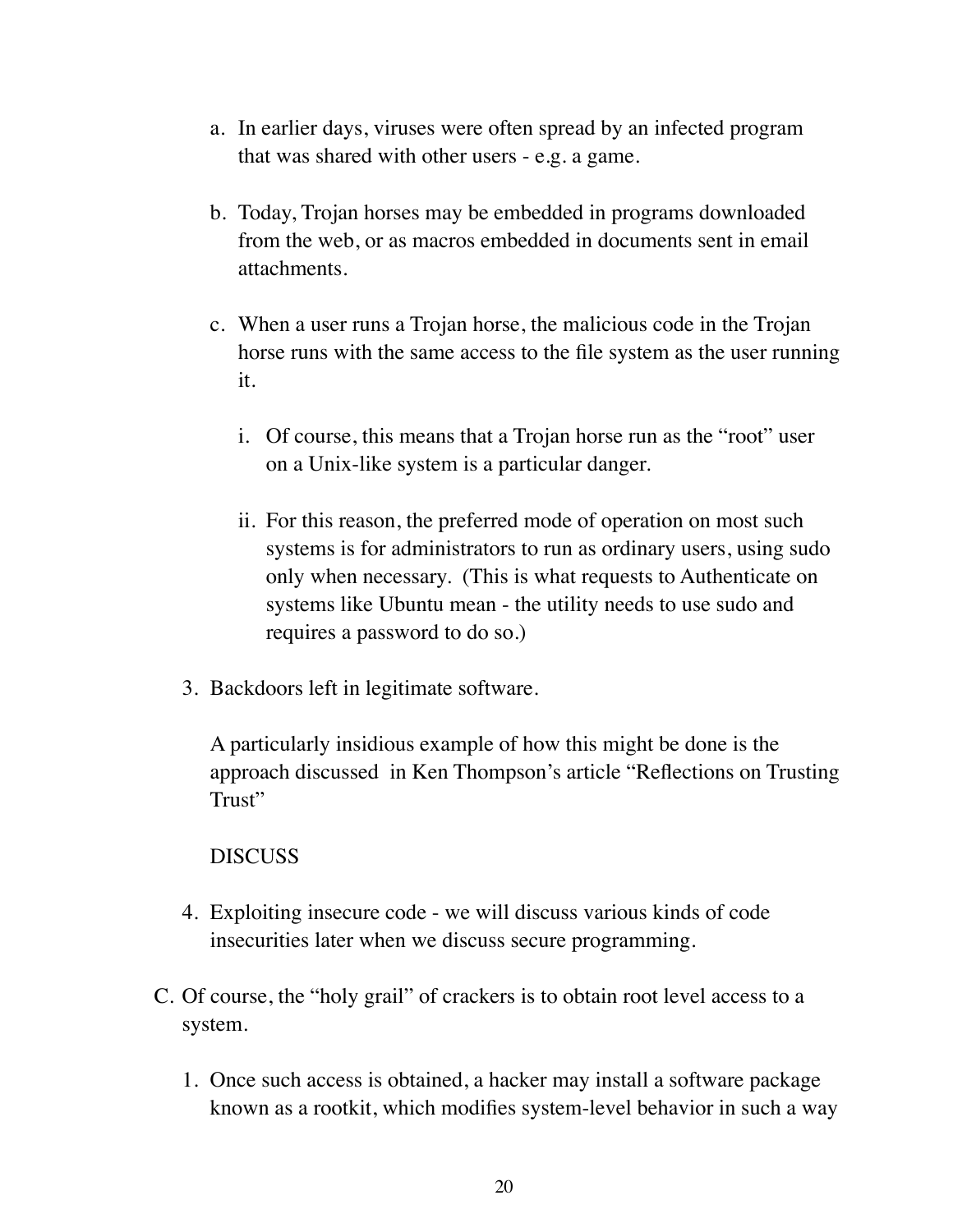- a. In earlier days, viruses were often spread by an infected program that was shared with other users - e.g. a game.
- b. Today, Trojan horses may be embedded in programs downloaded from the web, or as macros embedded in documents sent in email attachments.
- c. When a user runs a Trojan horse, the malicious code in the Trojan horse runs with the same access to the file system as the user running it.
	- i. Of course, this means that a Trojan horse run as the "root" user on a Unix-like system is a particular danger.
	- ii. For this reason, the preferred mode of operation on most such systems is for administrators to run as ordinary users, using sudo only when necessary. (This is what requests to Authenticate on systems like Ubuntu mean - the utility needs to use sudo and requires a password to do so.)
- 3. Backdoors left in legitimate software.

A particularly insidious example of how this might be done is the approach discussed in Ken Thompson's article "Reflections on Trusting Trust"

#### DISCUSS

- 4. Exploiting insecure code we will discuss various kinds of code insecurities later when we discuss secure programming.
- C. Of course, the "holy grail" of crackers is to obtain root level access to a system.
	- 1. Once such access is obtained, a hacker may install a software package known as a rootkit, which modifies system-level behavior in such a way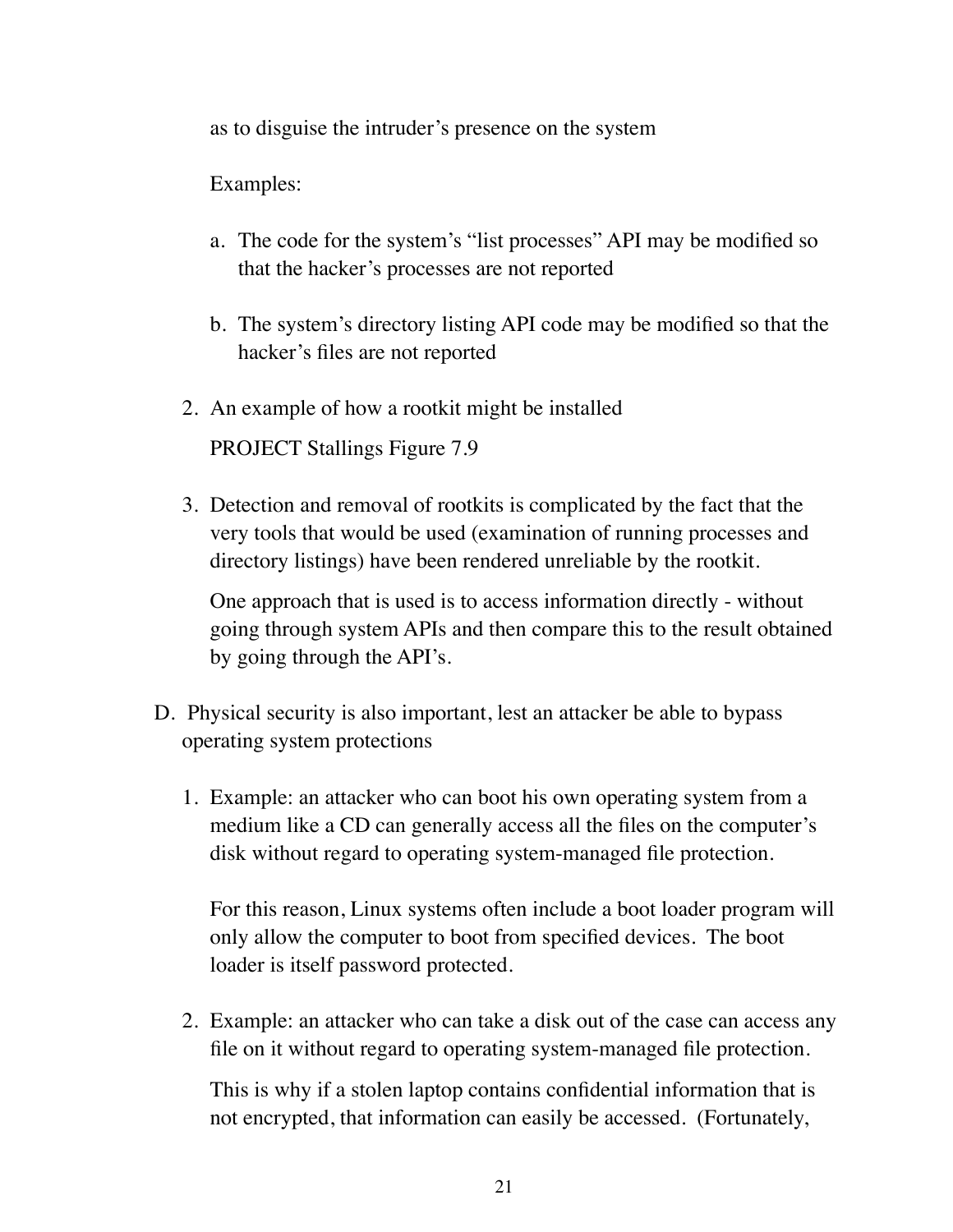as to disguise the intruder's presence on the system

Examples:

- a. The code for the system's "list processes" API may be modified so that the hacker's processes are not reported
- b. The system's directory listing API code may be modified so that the hacker's files are not reported
- 2. An example of how a rootkit might be installed

PROJECT Stallings Figure 7.9

3. Detection and removal of rootkits is complicated by the fact that the very tools that would be used (examination of running processes and directory listings) have been rendered unreliable by the rootkit.

One approach that is used is to access information directly - without going through system APIs and then compare this to the result obtained by going through the API's.

- D. Physical security is also important, lest an attacker be able to bypass operating system protections
	- 1. Example: an attacker who can boot his own operating system from a medium like a CD can generally access all the files on the computer's disk without regard to operating system-managed file protection.

For this reason, Linux systems often include a boot loader program will only allow the computer to boot from specified devices. The boot loader is itself password protected.

2. Example: an attacker who can take a disk out of the case can access any file on it without regard to operating system-managed file protection.

This is why if a stolen laptop contains confidential information that is not encrypted, that information can easily be accessed. (Fortunately,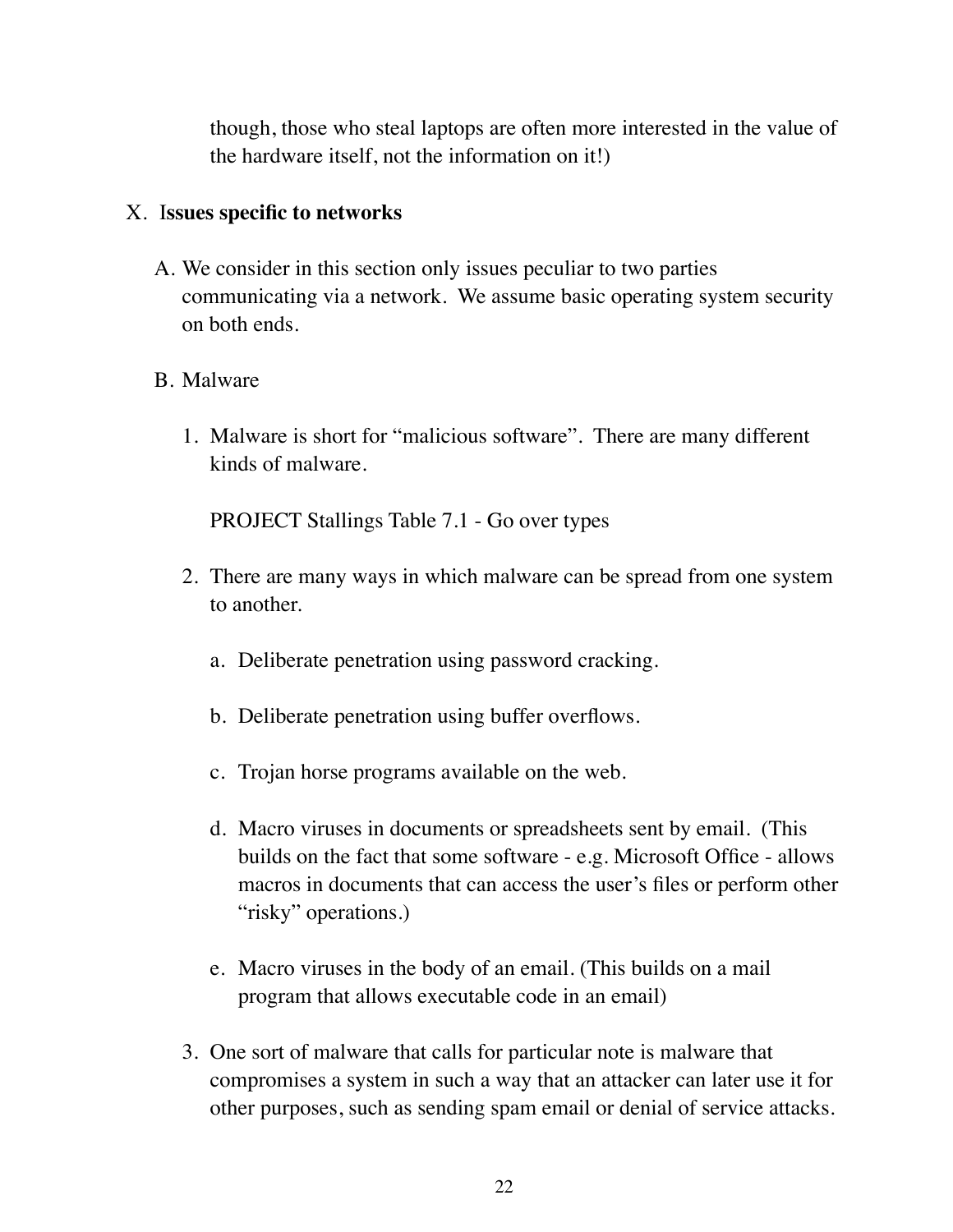though, those who steal laptops are often more interested in the value of the hardware itself, not the information on it!)

#### X. I**ssues specific to networks**

A. We consider in this section only issues peculiar to two parties communicating via a network. We assume basic operating system security on both ends.

#### B. Malware

1. Malware is short for "malicious software". There are many different kinds of malware.

PROJECT Stallings Table 7.1 - Go over types

- 2. There are many ways in which malware can be spread from one system to another.
	- a. Deliberate penetration using password cracking.
	- b. Deliberate penetration using buffer overflows.
	- c. Trojan horse programs available on the web.
	- d. Macro viruses in documents or spreadsheets sent by email. (This builds on the fact that some software - e.g. Microsoft Office - allows macros in documents that can access the user's files or perform other "risky" operations.)
	- e. Macro viruses in the body of an email. (This builds on a mail program that allows executable code in an email)
- 3. One sort of malware that calls for particular note is malware that compromises a system in such a way that an attacker can later use it for other purposes, such as sending spam email or denial of service attacks.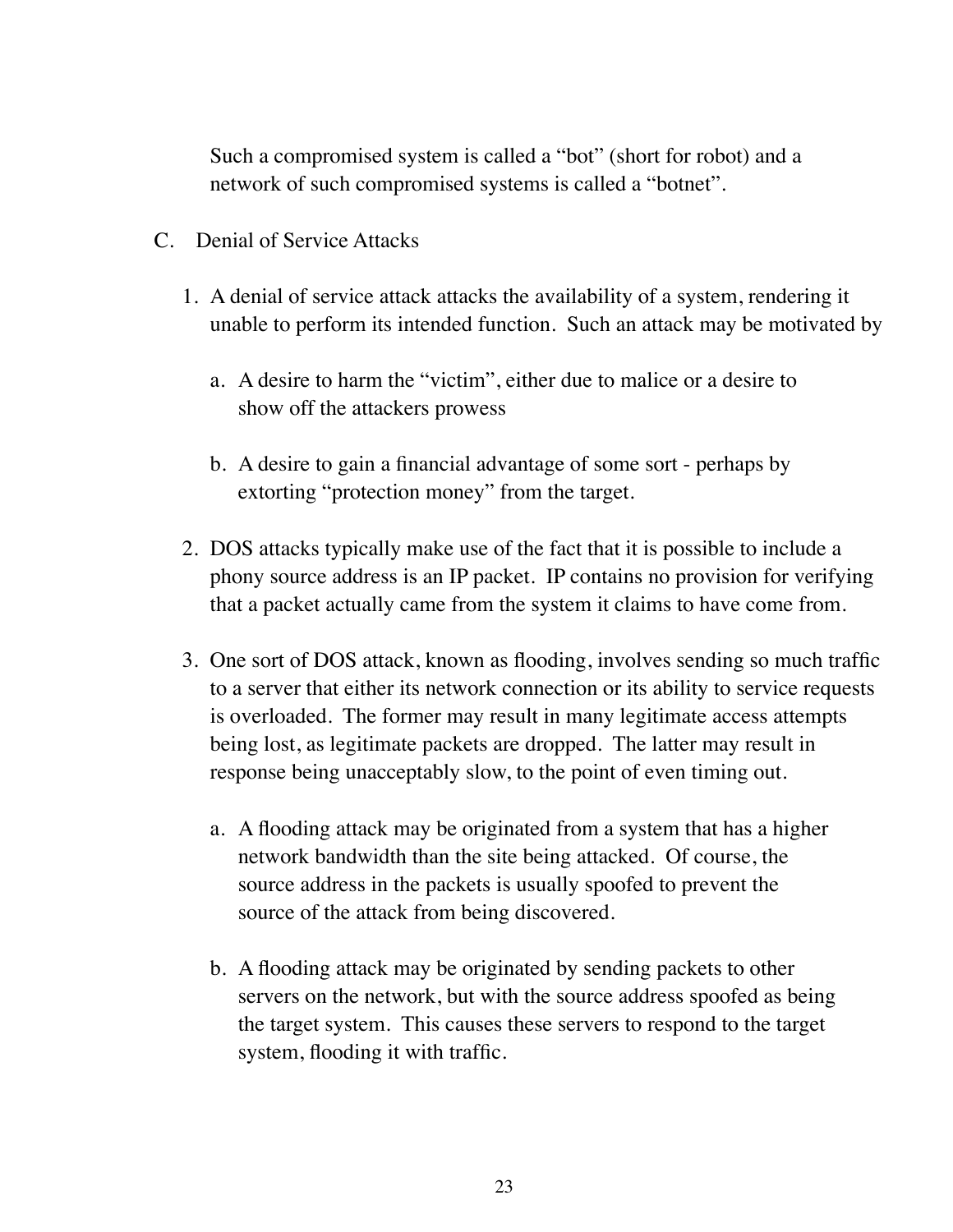Such a compromised system is called a "bot" (short for robot) and a network of such compromised systems is called a "botnet".

- C. Denial of Service Attacks
	- 1. A denial of service attack attacks the availability of a system, rendering it unable to perform its intended function. Such an attack may be motivated by
		- a. A desire to harm the "victim", either due to malice or a desire to show off the attackers prowess
		- b. A desire to gain a financial advantage of some sort perhaps by extorting "protection money" from the target.
	- 2. DOS attacks typically make use of the fact that it is possible to include a phony source address is an IP packet. IP contains no provision for verifying that a packet actually came from the system it claims to have come from.
	- 3. One sort of DOS attack, known as flooding, involves sending so much traffic to a server that either its network connection or its ability to service requests is overloaded. The former may result in many legitimate access attempts being lost, as legitimate packets are dropped. The latter may result in response being unacceptably slow, to the point of even timing out.
		- a. A flooding attack may be originated from a system that has a higher network bandwidth than the site being attacked. Of course, the source address in the packets is usually spoofed to prevent the source of the attack from being discovered.
		- b. A flooding attack may be originated by sending packets to other servers on the network, but with the source address spoofed as being the target system. This causes these servers to respond to the target system, flooding it with traffic.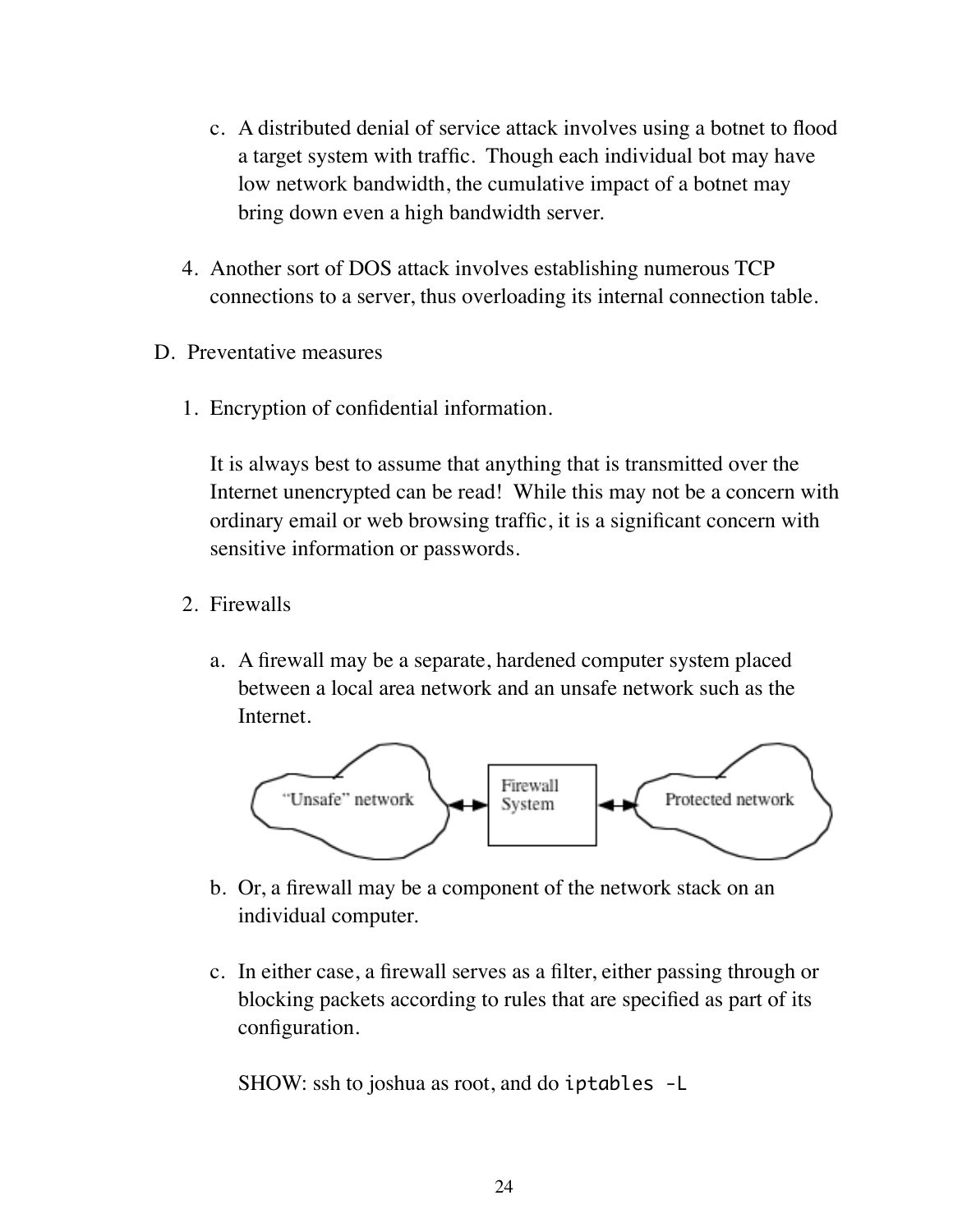- c. A distributed denial of service attack involves using a botnet to flood a target system with traffic. Though each individual bot may have low network bandwidth, the cumulative impact of a botnet may bring down even a high bandwidth server.
- 4. Another sort of DOS attack involves establishing numerous TCP connections to a server, thus overloading its internal connection table.
- D. Preventative measures
	- 1. Encryption of confidential information.

It is always best to assume that anything that is transmitted over the Internet unencrypted can be read! While this may not be a concern with ordinary email or web browsing traffic, it is a significant concern with sensitive information or passwords.

- 2. Firewalls
	- a. A firewall may be a separate, hardened computer system placed between a local area network and an unsafe network such as the Internet.



- b. Or, a firewall may be a component of the network stack on an individual computer.
- c. In either case, a firewall serves as a filter, either passing through or blocking packets according to rules that are specified as part of its configuration.

SHOW: ssh to joshua as root, and do iptables -L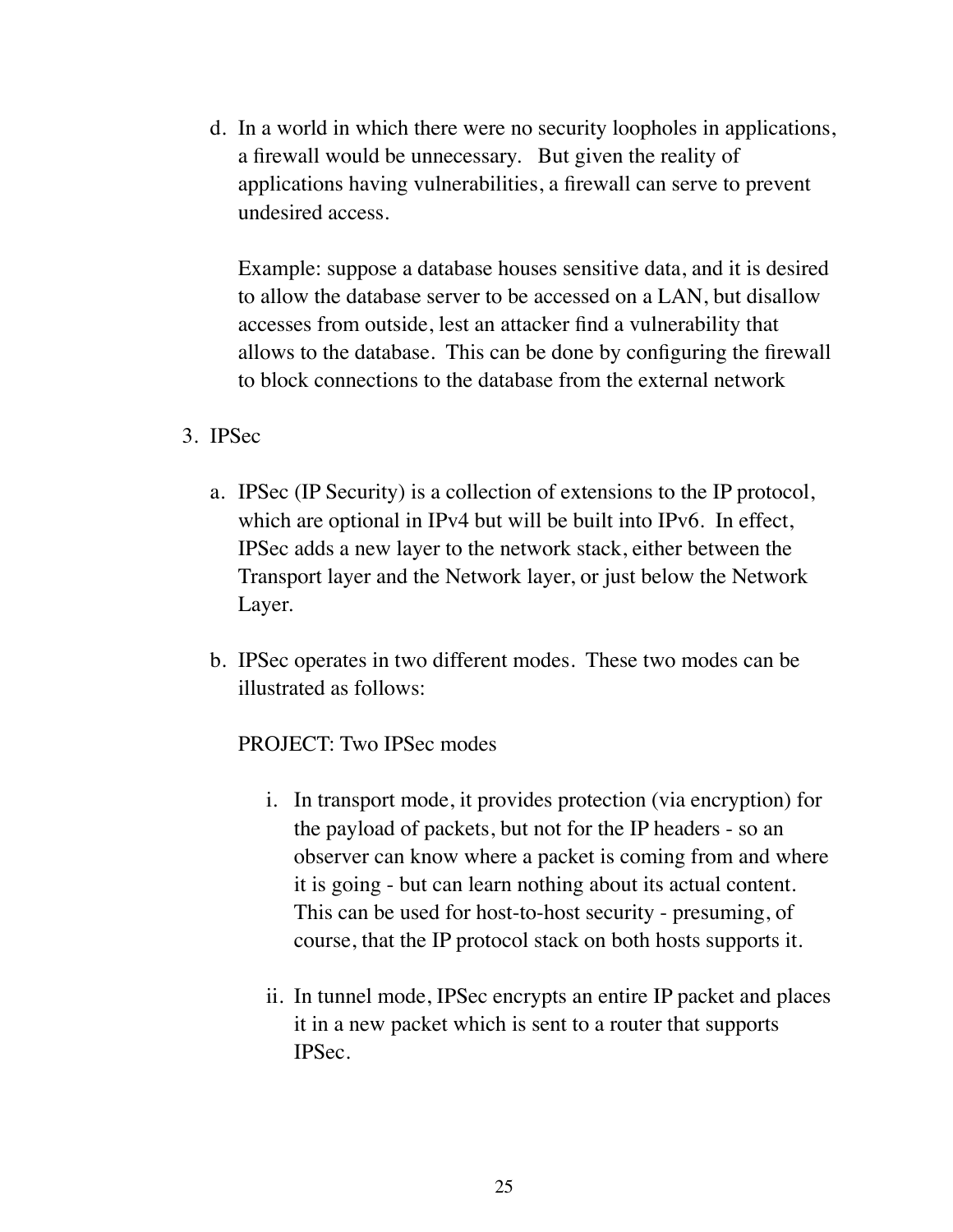d. In a world in which there were no security loopholes in applications, a firewall would be unnecessary. But given the reality of applications having vulnerabilities, a firewall can serve to prevent undesired access.

Example: suppose a database houses sensitive data, and it is desired to allow the database server to be accessed on a LAN, but disallow accesses from outside, lest an attacker find a vulnerability that allows to the database. This can be done by configuring the firewall to block connections to the database from the external network

- 3. IPSec
	- a. IPSec (IP Security) is a collection of extensions to the IP protocol, which are optional in IPv4 but will be built into IPv6. In effect, IPSec adds a new layer to the network stack, either between the Transport layer and the Network layer, or just below the Network Layer.
	- b. IPSec operates in two different modes. These two modes can be illustrated as follows:

#### PROJECT: Two IPSec modes

- i. In transport mode, it provides protection (via encryption) for the payload of packets, but not for the IP headers - so an observer can know where a packet is coming from and where it is going - but can learn nothing about its actual content. This can be used for host-to-host security - presuming, of course, that the IP protocol stack on both hosts supports it.
- ii. In tunnel mode, IPSec encrypts an entire IP packet and places it in a new packet which is sent to a router that supports IPSec.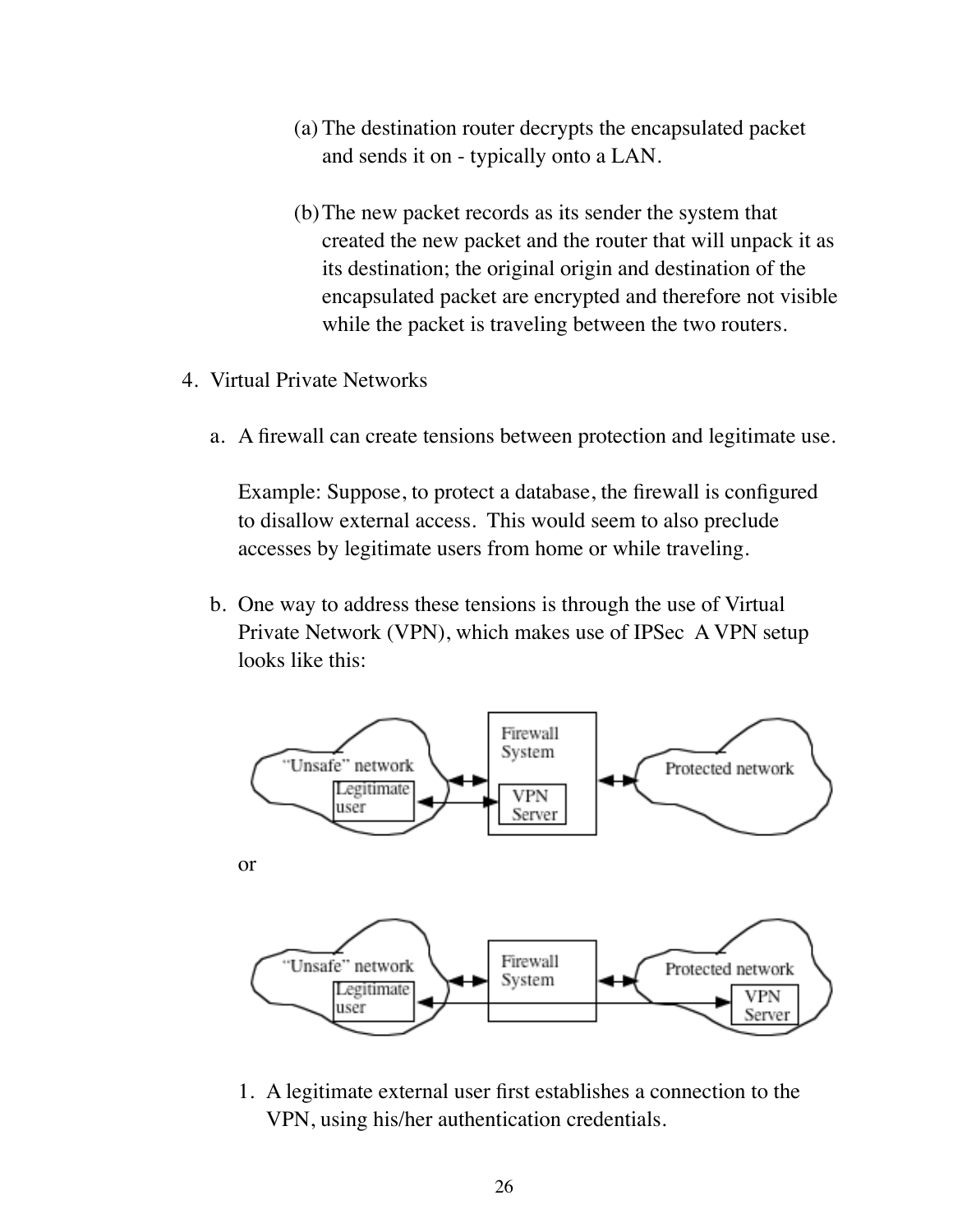- (a) The destination router decrypts the encapsulated packet and sends it on - typically onto a LAN.
- (b)The new packet records as its sender the system that created the new packet and the router that will unpack it as its destination; the original origin and destination of the encapsulated packet are encrypted and therefore not visible while the packet is traveling between the two routers.
- 4. Virtual Private Networks
	- a. A firewall can create tensions between protection and legitimate use.

Example: Suppose, to protect a database, the firewall is configured to disallow external access. This would seem to also preclude accesses by legitimate users from home or while traveling.

b. One way to address these tensions is through the use of Virtual Private Network (VPN), which makes use of IPSec A VPN setup looks like this:



1. A legitimate external user first establishes a connection to the VPN, using his/her authentication credentials.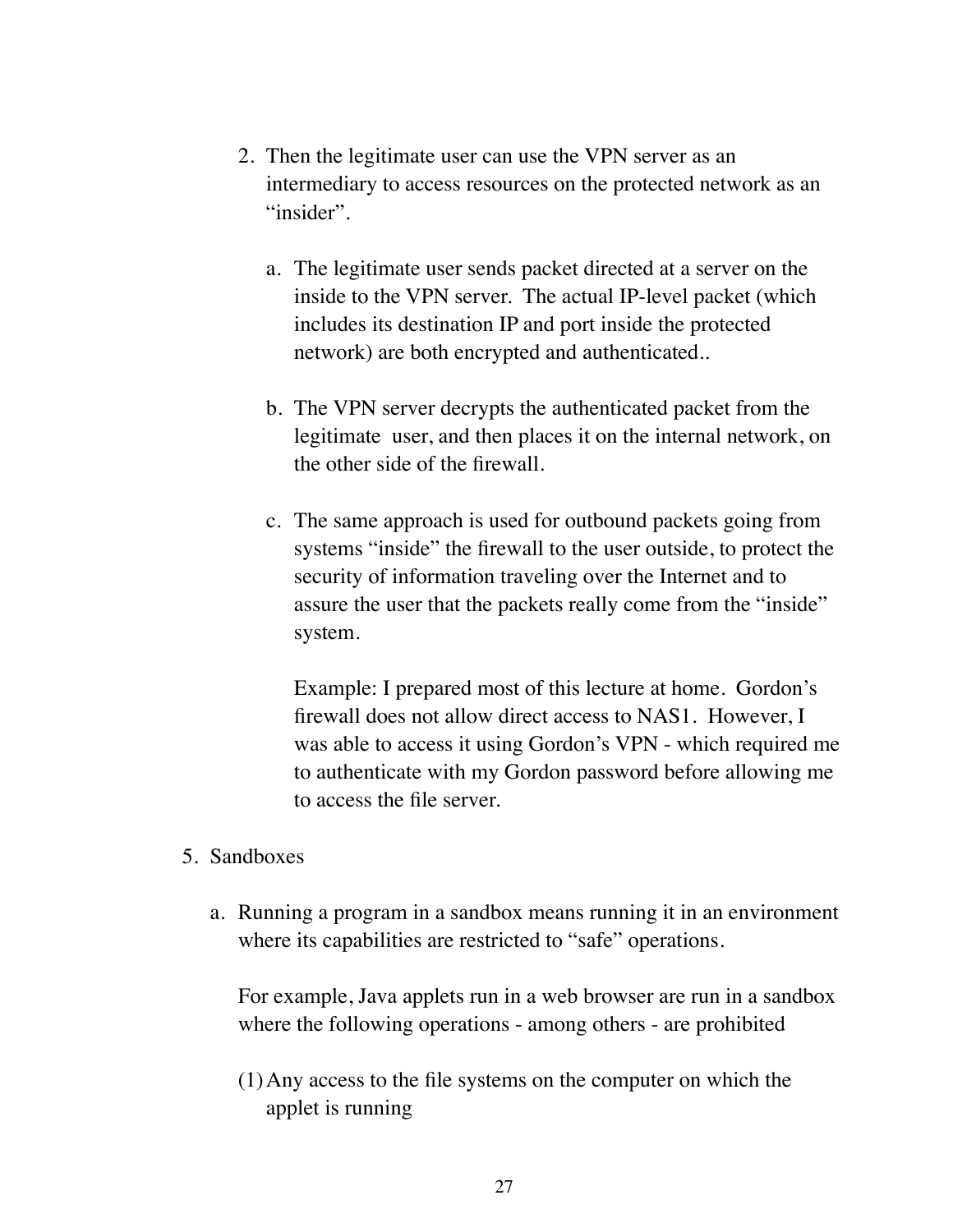- 2. Then the legitimate user can use the VPN server as an intermediary to access resources on the protected network as an "insider".
	- a. The legitimate user sends packet directed at a server on the inside to the VPN server. The actual IP-level packet (which includes its destination IP and port inside the protected network) are both encrypted and authenticated..
	- b. The VPN server decrypts the authenticated packet from the legitimate user, and then places it on the internal network, on the other side of the firewall.
	- c. The same approach is used for outbound packets going from systems "inside" the firewall to the user outside, to protect the security of information traveling over the Internet and to assure the user that the packets really come from the "inside" system.

Example: I prepared most of this lecture at home. Gordon's firewall does not allow direct access to NAS1. However, I was able to access it using Gordon's VPN - which required me to authenticate with my Gordon password before allowing me to access the file server.

- 5. Sandboxes
	- a. Running a program in a sandbox means running it in an environment where its capabilities are restricted to "safe" operations.

For example, Java applets run in a web browser are run in a sandbox where the following operations - among others - are prohibited

(1)Any access to the file systems on the computer on which the applet is running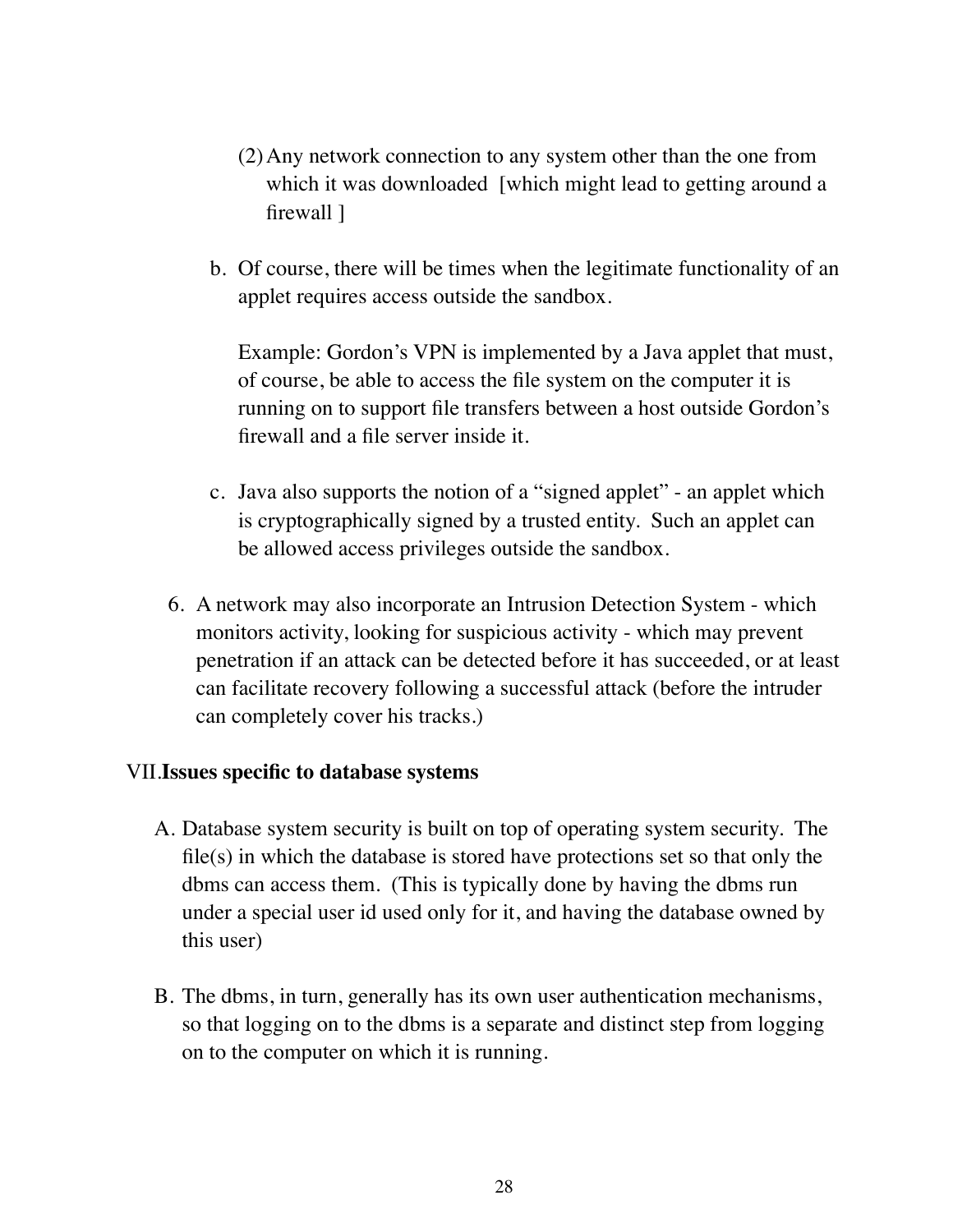- (2)Any network connection to any system other than the one from which it was downloaded [which might lead to getting around a firewall ]
- b. Of course, there will be times when the legitimate functionality of an applet requires access outside the sandbox.

Example: Gordon's VPN is implemented by a Java applet that must, of course, be able to access the file system on the computer it is running on to support file transfers between a host outside Gordon's firewall and a file server inside it.

- c. Java also supports the notion of a "signed applet" an applet which is cryptographically signed by a trusted entity. Such an applet can be allowed access privileges outside the sandbox.
- 6. A network may also incorporate an Intrusion Detection System which monitors activity, looking for suspicious activity - which may prevent penetration if an attack can be detected before it has succeeded, or at least can facilitate recovery following a successful attack (before the intruder can completely cover his tracks.)

## VII.**Issues specific to database systems**

- A. Database system security is built on top of operating system security. The file(s) in which the database is stored have protections set so that only the dbms can access them. (This is typically done by having the dbms run under a special user id used only for it, and having the database owned by this user)
- B. The dbms, in turn, generally has its own user authentication mechanisms, so that logging on to the dbms is a separate and distinct step from logging on to the computer on which it is running.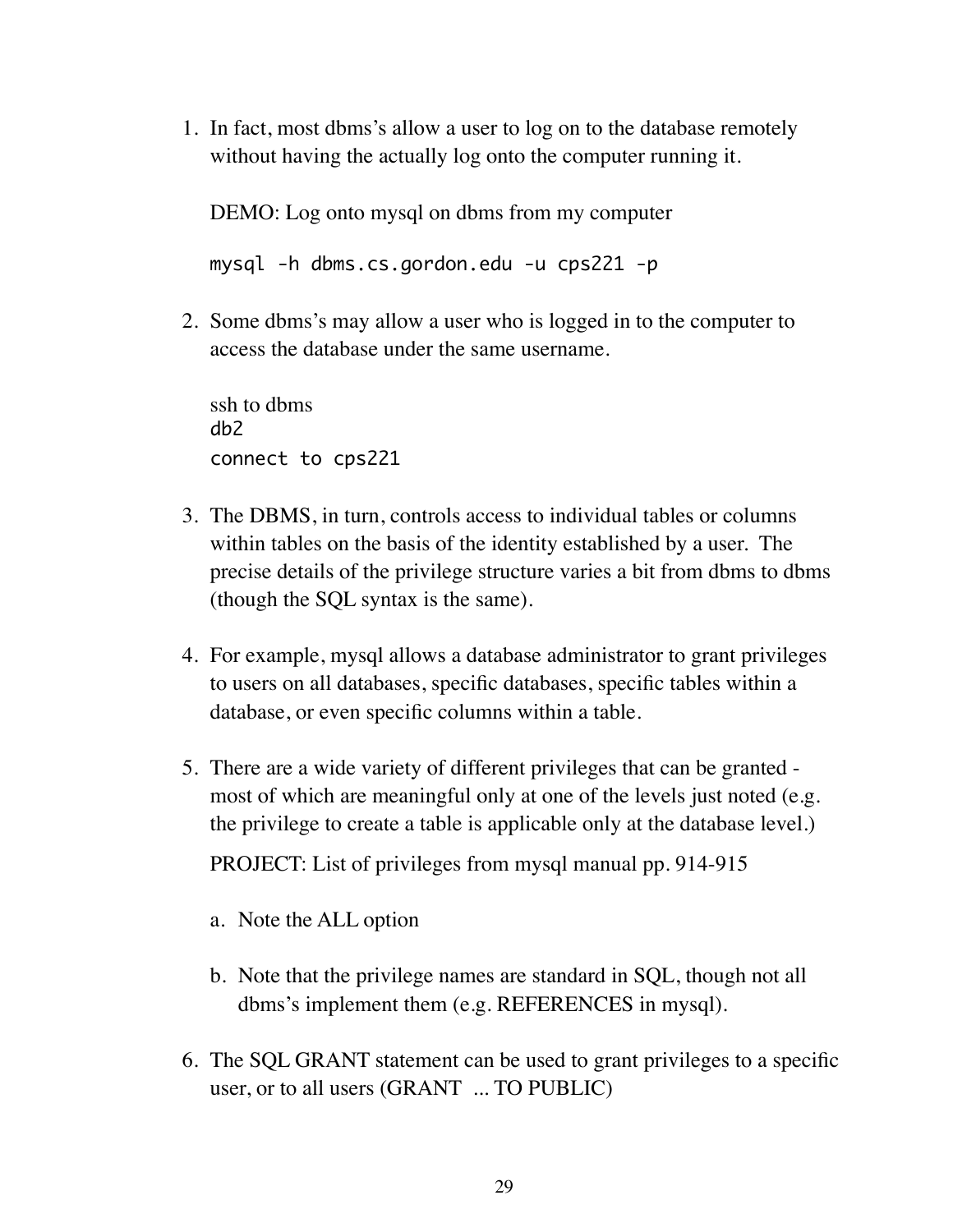1. In fact, most dbms's allow a user to log on to the database remotely without having the actually log onto the computer running it.

DEMO: Log onto mysql on dbms from my computer

mysql -h dbms.cs.gordon.edu -u cps221 -p

2. Some dbms's may allow a user who is logged in to the computer to access the database under the same username.

ssh to dbms db2 connect to cps221

- 3. The DBMS, in turn, controls access to individual tables or columns within tables on the basis of the identity established by a user. The precise details of the privilege structure varies a bit from dbms to dbms (though the SQL syntax is the same).
- 4. For example, mysql allows a database administrator to grant privileges to users on all databases, specific databases, specific tables within a database, or even specific columns within a table.
- 5. There are a wide variety of different privileges that can be granted most of which are meaningful only at one of the levels just noted (e.g. the privilege to create a table is applicable only at the database level.)

PROJECT: List of privileges from mysql manual pp. 914-915

- a. Note the ALL option
- b. Note that the privilege names are standard in SQL, though not all dbms's implement them (e.g. REFERENCES in mysql).
- 6. The SQL GRANT statement can be used to grant privileges to a specific user, or to all users (GRANT ... TO PUBLIC)